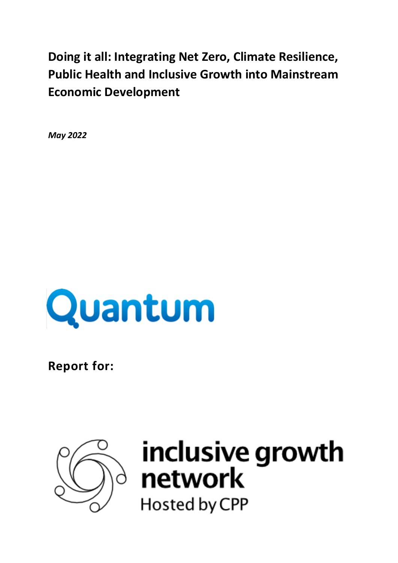**Doing it all: Integrating Net Zero, Climate Resilience, Public Health and Inclusive Growth into Mainstream Economic Development**

*May 2022*



**Report for:** 



# inclusive growth<br>network Hosted by CPP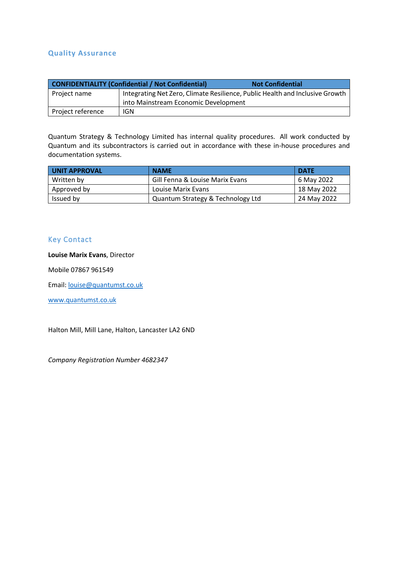#### **Quality Assurance**

|                   | <b>CONFIDENTIALITY (Confidential / Not Confidential)</b>                     | <b>Not Confidential</b> |  |  |  |  |
|-------------------|------------------------------------------------------------------------------|-------------------------|--|--|--|--|
| Project name      | Integrating Net Zero, Climate Resilience, Public Health and Inclusive Growth |                         |  |  |  |  |
|                   | into Mainstream Economic Development                                         |                         |  |  |  |  |
| Project reference | <b>IGN</b>                                                                   |                         |  |  |  |  |

Quantum Strategy & Technology Limited has internal quality procedures. All work conducted by Quantum and its subcontractors is carried out in accordance with these in-house procedures and documentation systems.

| UNIT APPROVAL | <b>NAME</b>                       | <b>DATE</b> |
|---------------|-----------------------------------|-------------|
| Written by    | Gill Fenna & Louise Marix Evans   | 6 May 2022  |
| Approved by   | Louise Marix Evans                | 18 May 2022 |
| Issued by     | Quantum Strategy & Technology Ltd | 24 May 2022 |

## Key Contact

#### **Louise Marix Evans**, Director

Mobile 07867 961549

Email: [louise@quantumst.co.uk](mailto:louise@quantumst.co.uk)

[www.quantumst.co.uk](http://www.quantumst.co.uk/)

Halton Mill, Mill Lane, Halton, Lancaster LA2 6ND

*Company Registration Number 4682347*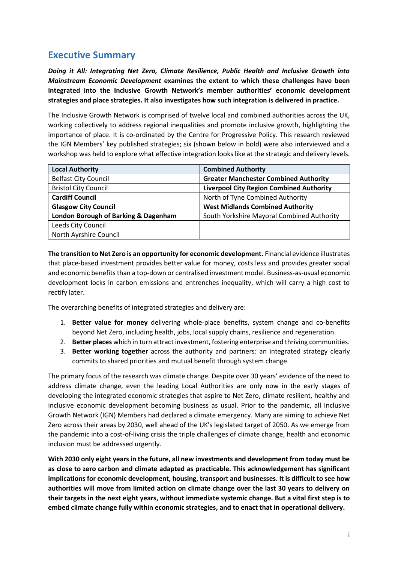# **Executive Summary**

*Doing it All: Integrating Net Zero, Climate Resilience, Public Health and Inclusive Growth into Mainstream Economic Development* **examines the extent to which these challenges have been integrated into the Inclusive Growth Network's member authorities' economic development strategies and place strategies. It also investigates how such integration is delivered in practice.** 

The Inclusive Growth Network is comprised of twelve local and combined authorities across the UK, working collectively to address regional inequalities and promote inclusive growth, highlighting the importance of place. It is co-ordinated by the Centre for Progressive Policy. This research reviewed the IGN Members' key published strategies; six (shown below in bold) were also interviewed and a workshop was held to explore what effective integration looks like at the strategic and delivery levels.

| <b>Local Authority</b>               | <b>Combined Authority</b>                       |  |  |  |  |
|--------------------------------------|-------------------------------------------------|--|--|--|--|
| <b>Belfast City Council</b>          | <b>Greater Manchester Combined Authority</b>    |  |  |  |  |
| <b>Bristol City Council</b>          | <b>Liverpool City Region Combined Authority</b> |  |  |  |  |
| <b>Cardiff Council</b>               | North of Tyne Combined Authority                |  |  |  |  |
| <b>Glasgow City Council</b>          | <b>West Midlands Combined Authority</b>         |  |  |  |  |
| London Borough of Barking & Dagenham | South Yorkshire Mayoral Combined Authority      |  |  |  |  |
| Leeds City Council                   |                                                 |  |  |  |  |
| North Ayrshire Council               |                                                 |  |  |  |  |

**The transition to Net Zero is an opportunity for economic development.** Financial evidence illustrates that place-based investment provides better value for money, costs less and provides greater social and economic benefits than a top-down or centralised investment model. Business-as-usual economic development locks in carbon emissions and entrenches inequality, which will carry a high cost to rectify later.

The overarching benefits of integrated strategies and delivery are:

- 1. **Better value for money** delivering whole-place benefits, system change and co-benefits beyond Net Zero, including health, jobs, local supply chains, resilience and regeneration.
- 2. **Better places** which in turn attract investment, fostering enterprise and thriving communities.
- 3. **Better working together** across the authority and partners: an integrated strategy clearly commits to shared priorities and mutual benefit through system change.

The primary focus of the research was climate change. Despite over 30 years' evidence of the need to address climate change, even the leading Local Authorities are only now in the early stages of developing the integrated economic strategies that aspire to Net Zero, climate resilient, healthy and inclusive economic development becoming business as usual. Prior to the pandemic, all Inclusive Growth Network (IGN) Members had declared a climate emergency. Many are aiming to achieve Net Zero across their areas by 2030, well ahead of the UK's legislated target of 2050. As we emerge from the pandemic into a cost-of-living crisis the triple challenges of climate change, health and economic inclusion must be addressed urgently.

**With 2030 only eight years in the future, all new investments and development from today must be as close to zero carbon and climate adapted as practicable. This acknowledgement has significant implications for economic development, housing, transport and businesses. It is difficult to see how authorities will move from limited action on climate change over the last 30 years to delivery on their targets in the next eight years, without immediate systemic change. But a vital first step is to embed climate change fully within economic strategies, and to enact that in operational delivery.**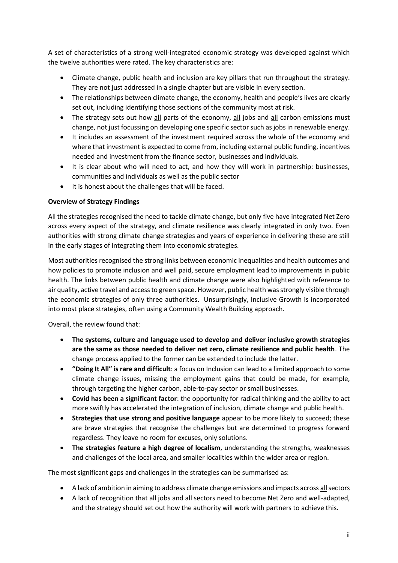A set of characteristics of a strong well-integrated economic strategy was developed against which the twelve authorities were rated. The key characteristics are:

- Climate change, public health and inclusion are key pillars that run throughout the strategy. They are not just addressed in a single chapter but are visible in every section.
- The relationships between climate change, the economy, health and people's lives are clearly set out, including identifying those sections of the community most at risk.
- The strategy sets out how all parts of the economy, all jobs and all carbon emissions must change, not just focussing on developing one specific sector such as jobs in renewable energy.
- It includes an assessment of the investment required across the whole of the economy and where that investment is expected to come from, including external public funding, incentives needed and investment from the finance sector, businesses and individuals.
- It is clear about who will need to act, and how they will work in partnership: businesses, communities and individuals as well as the public sector
- It is honest about the challenges that will be faced.

#### **Overview of Strategy Findings**

All the strategies recognised the need to tackle climate change, but only five have integrated Net Zero across every aspect of the strategy, and climate resilience was clearly integrated in only two. Even authorities with strong climate change strategies and years of experience in delivering these are still in the early stages of integrating them into economic strategies.

Most authorities recognised the strong links between economic inequalities and health outcomes and how policies to promote inclusion and well paid, secure employment lead to improvements in public health. The links between public health and climate change were also highlighted with reference to air quality, active travel and access to green space. However, public health was strongly visible through the economic strategies of only three authorities. Unsurprisingly, Inclusive Growth is incorporated into most place strategies, often using a Community Wealth Building approach.

Overall, the review found that:

- **The systems, culture and language used to develop and deliver inclusive growth strategies are the same as those needed to deliver net zero, climate resilience and public health**. The change process applied to the former can be extended to include the latter.
- **"Doing It All" is rare and difficult**: a focus on Inclusion can lead to a limited approach to some climate change issues, missing the employment gains that could be made, for example, through targeting the higher carbon, able-to-pay sector or small businesses.
- **Covid has been a significant factor**: the opportunity for radical thinking and the ability to act more swiftly has accelerated the integration of inclusion, climate change and public health.
- **Strategies that use strong and positive language** appear to be more likely to succeed; these are brave strategies that recognise the challenges but are determined to progress forward regardless. They leave no room for excuses, only solutions.
- **The strategies feature a high degree of localism**, understanding the strengths, weaknesses and challenges of the local area, and smaller localities within the wider area or region.

The most significant gaps and challenges in the strategies can be summarised as:

- A lack of ambition in aiming to address climate change emissions and impacts across all sectors
- A lack of recognition that all jobs and all sectors need to become Net Zero and well-adapted, and the strategy should set out how the authority will work with partners to achieve this.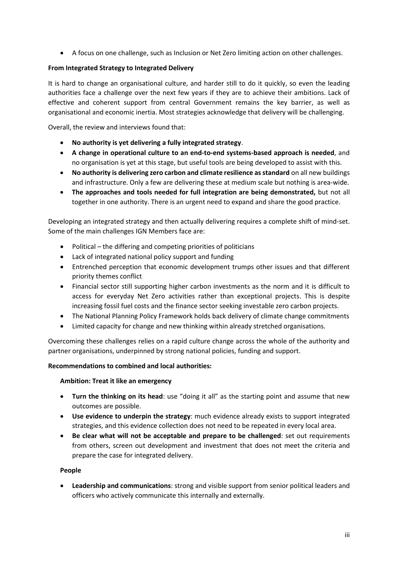• A focus on one challenge, such as Inclusion or Net Zero limiting action on other challenges.

#### **From Integrated Strategy to Integrated Delivery**

It is hard to change an organisational culture, and harder still to do it quickly, so even the leading authorities face a challenge over the next few years if they are to achieve their ambitions. Lack of effective and coherent support from central Government remains the key barrier, as well as organisational and economic inertia. Most strategies acknowledge that delivery will be challenging.

Overall, the review and interviews found that:

- **No authority is yet delivering a fully integrated strategy**.
- **A change in operational culture to an end-to-end systems-based approach is needed**, and no organisation is yet at this stage, but useful tools are being developed to assist with this.
- **No authority is delivering zero carbon and climate resilience as standard** on all new buildings and infrastructure. Only a few are delivering these at medium scale but nothing is area-wide.
- **The approaches and tools needed for full integration are being demonstrated,** but not all together in one authority. There is an urgent need to expand and share the good practice.

Developing an integrated strategy and then actually delivering requires a complete shift of mind-set. Some of the main challenges IGN Members face are:

- Political the differing and competing priorities of politicians
- Lack of integrated national policy support and funding
- Entrenched perception that economic development trumps other issues and that different priority themes conflict
- Financial sector still supporting higher carbon investments as the norm and it is difficult to access for everyday Net Zero activities rather than exceptional projects. This is despite increasing fossil fuel costs and the finance sector seeking investable zero carbon projects.
- The National Planning Policy Framework holds back delivery of climate change commitments
- Limited capacity for change and new thinking within already stretched organisations.

Overcoming these challenges relies on a rapid culture change across the whole of the authority and partner organisations, underpinned by strong national policies, funding and support.

#### **Recommendations to combined and local authorities:**

#### **Ambition: Treat it like an emergency**

- **Turn the thinking on its head**: use "doing it all" as the starting point and assume that new outcomes are possible.
- **Use evidence to underpin the strategy**: much evidence already exists to support integrated strategies, and this evidence collection does not need to be repeated in every local area.
- **Be clear what will not be acceptable and prepare to be challenged**: set out requirements from others, screen out development and investment that does not meet the criteria and prepare the case for integrated delivery.

#### **People**

• **Leadership and communications**: strong and visible support from senior political leaders and officers who actively communicate this internally and externally.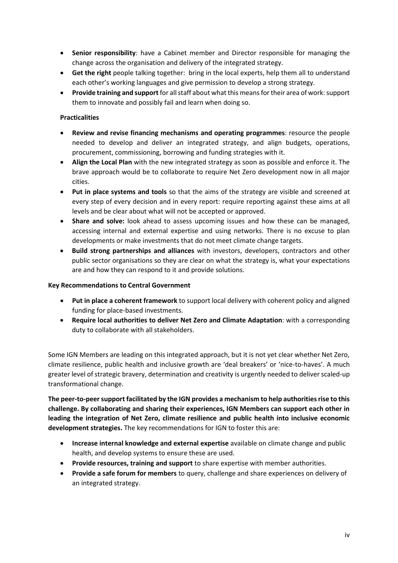- **Senior responsibility**: have a Cabinet member and Director responsible for managing the change across the organisation and delivery of the integrated strategy.
- **Get the right** people talking together: bring in the local experts, help them all to understand each other's working languages and give permission to develop a strong strategy.
- **Provide training and support** for all staff about what this means for their area of work: support them to innovate and possibly fail and learn when doing so.

#### **Practicalities**

- **Review and revise financing mechanisms and operating programmes**: resource the people needed to develop and deliver an integrated strategy, and align budgets, operations, procurement, commissioning, borrowing and funding strategies with it.
- **Align the Local Plan** with the new integrated strategy as soon as possible and enforce it. The brave approach would be to collaborate to require Net Zero development now in all major cities.
- **Put in place systems and tools** so that the aims of the strategy are visible and screened at every step of every decision and in every report: require reporting against these aims at all levels and be clear about what will not be accepted or approved.
- **Share and solve:** look ahead to assess upcoming issues and how these can be managed, accessing internal and external expertise and using networks. There is no excuse to plan developments or make investments that do not meet climate change targets.
- **Build strong partnerships and alliances** with investors, developers, contractors and other public sector organisations so they are clear on what the strategy is, what your expectations are and how they can respond to it and provide solutions.

#### **Key Recommendations to Central Government**

- **Put in place a coherent framework** to support local delivery with coherent policy and aligned funding for place-based investments.
- **Require local authorities to deliver Net Zero and Climate Adaptation**: with a corresponding duty to collaborate with all stakeholders.

Some IGN Members are leading on this integrated approach, but it is not yet clear whether Net Zero, climate resilience, public health and inclusive growth are 'deal breakers' or 'nice-to-haves'. A much greater level of strategic bravery, determination and creativity is urgently needed to deliver scaled-up transformational change.

**The peer-to-peer support facilitated by the IGN provides a mechanism to help authorities rise to this challenge. By collaborating and sharing their experiences, IGN Members can support each other in leading the integration of Net Zero, climate resilience and public health into inclusive economic development strategies.** The key recommendations for IGN to foster this are:

- **Increase internal knowledge and external expertise** available on climate change and public health, and develop systems to ensure these are used.
- **Provide resources, training and support** to share expertise with member authorities.
- **Provide a safe forum for members** to query, challenge and share experiences on delivery of an integrated strategy.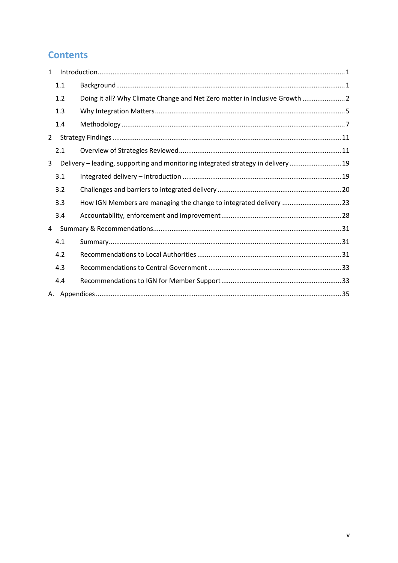# **Contents**

| $\mathbf{1}$ |     |                                                                                   |  |
|--------------|-----|-----------------------------------------------------------------------------------|--|
|              | 1.1 |                                                                                   |  |
|              | 1.2 | Doing it all? Why Climate Change and Net Zero matter in Inclusive Growth  2       |  |
|              | 1.3 |                                                                                   |  |
|              | 1.4 |                                                                                   |  |
| $\mathbf{2}$ |     |                                                                                   |  |
|              | 2.1 |                                                                                   |  |
| 3            |     | Delivery - leading, supporting and monitoring integrated strategy in delivery  19 |  |
|              | 3.1 |                                                                                   |  |
|              | 3.2 |                                                                                   |  |
|              | 3.3 | How IGN Members are managing the change to integrated delivery 23                 |  |
|              | 3.4 |                                                                                   |  |
| 4            |     |                                                                                   |  |
|              | 4.1 |                                                                                   |  |
|              | 4.2 |                                                                                   |  |
|              | 4.3 |                                                                                   |  |
|              | 4.4 |                                                                                   |  |
|              |     |                                                                                   |  |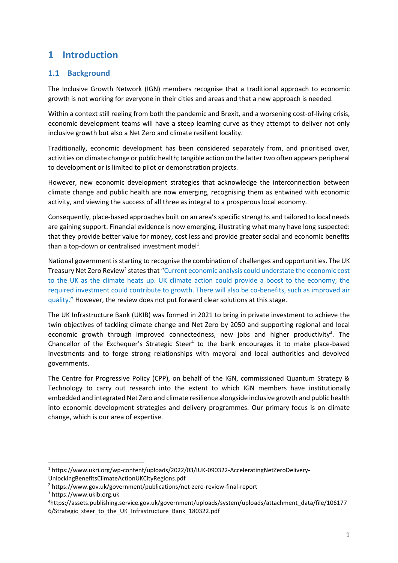# <span id="page-7-0"></span>**1 Introduction**

## <span id="page-7-1"></span>**1.1 Background**

The Inclusive Growth Network (IGN) members recognise that a traditional approach to economic growth is not working for everyone in their cities and areas and that a new approach is needed.

Within a context still reeling from both the pandemic and Brexit, and a worsening cost-of-living crisis, economic development teams will have a steep learning curve as they attempt to deliver not only inclusive growth but also a Net Zero and climate resilient locality.

Traditionally, economic development has been considered separately from, and prioritised over, activities on climate change or public health; tangible action on the latter two often appears peripheral to development or is limited to pilot or demonstration projects.

However, new economic development strategies that acknowledge the interconnection between climate change and public health are now emerging, recognising them as entwined with economic activity, and viewing the success of all three as integral to a prosperous local economy.

Consequently, place-based approaches built on an area's specific strengths and tailored to local needs are gaining support. Financial evidence is now emerging, illustrating what many have long suspected: that they provide better value for money, cost less and provide greater social and economic benefits than a top-down or centralised investment model<sup>1</sup>.

National government is starting to recognise the combination of challenges and opportunities. The UK Treasury Net Zero Review<sup>2</sup> states that "Current economic analysis could understate the economic cost to the UK as the climate heats up. UK climate action could provide a boost to the economy; the required investment could contribute to growth. There will also be co-benefits, such as improved air quality." However, the review does not put forward clear solutions at this stage.

The UK Infrastructure Bank (UKIB) was formed in 2021 to bring in private investment to achieve the twin objectives of tackling climate change and Net Zero by 2050 and supporting regional and local economic growth through improved connectedness, new jobs and higher productivity<sup>3</sup>. The Chancellor of the Exchequer's Strategic Steer $4$  to the bank encourages it to make place-based investments and to forge strong relationships with mayoral and local authorities and devolved governments.

The Centre for Progressive Policy (CPP), on behalf of the IGN, commissioned Quantum Strategy & Technology to carry out research into the extent to which IGN members have institutionally embedded and integrated Net Zero and climate resilience alongside inclusive growth and public health into economic development strategies and delivery programmes. Our primary focus is on climate change, which is our area of expertise.

<sup>1</sup> https://www.ukri.org/wp-content/uploads/2022/03/IUK-090322-AcceleratingNetZeroDelivery-UnlockingBenefitsClimateActionUKCityRegions.pdf

<sup>2</sup> https://www.gov.uk/government/publications/net-zero-review-final-report

<sup>3</sup> https://www.ukib.org.uk

<sup>4</sup>https://assets.publishing.service.gov.uk/government/uploads/system/uploads/attachment\_data/file/106177 6/Strategic\_steer\_to\_the\_UK\_Infrastructure\_Bank\_180322.pdf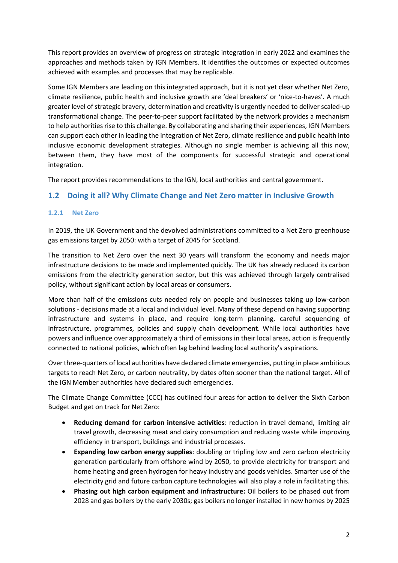This report provides an overview of progress on strategic integration in early 2022 and examines the approaches and methods taken by IGN Members. It identifies the outcomes or expected outcomes achieved with examples and processes that may be replicable.

Some IGN Members are leading on this integrated approach, but it is not yet clear whether Net Zero, climate resilience, public health and inclusive growth are 'deal breakers' or 'nice-to-haves'. A much greater level of strategic bravery, determination and creativity is urgently needed to deliver scaled-up transformational change. The peer-to-peer support facilitated by the network provides a mechanism to help authorities rise to this challenge. By collaborating and sharing their experiences, IGN Members can support each other in leading the integration of Net Zero, climate resilience and public health into inclusive economic development strategies. Although no single member is achieving all this now, between them, they have most of the components for successful strategic and operational integration.

The report provides recommendations to the IGN, local authorities and central government.

## <span id="page-8-0"></span>**1.2 Doing it all? Why Climate Change and Net Zero matter in Inclusive Growth**

#### **1.2.1 Net Zero**

In 2019, the UK Government and the devolved administrations committed to a Net Zero greenhouse gas emissions target by 2050: with a target of 2045 for Scotland.

The transition to Net Zero over the next 30 years will transform the economy and needs major infrastructure decisions to be made and implemented quickly. The UK has already reduced its carbon emissions from the electricity generation sector, but this was achieved through largely centralised policy, without significant action by local areas or consumers.

More than half of the emissions cuts needed rely on people and businesses taking up low-carbon solutions - decisions made at a local and individual level. Many of these depend on having supporting infrastructure and systems in place, and require long-term planning, careful sequencing of infrastructure, programmes, policies and supply chain development. While local authorities have powers and influence over approximately a third of emissions in their local areas, action is frequently connected to national policies, which often lag behind leading local authority's aspirations.

Over three-quarters of local authorities have declared climate emergencies, putting in place ambitious targets to reach Net Zero, or carbon neutrality, by dates often sooner than the national target. All of the IGN Member authorities have declared such emergencies.

The Climate Change Committee (CCC) has outlined four areas for action to deliver the Sixth Carbon Budget and get on track for Net Zero:

- **Reducing demand for carbon intensive activities**: reduction in travel demand, limiting air travel growth, decreasing meat and dairy consumption and reducing waste while improving efficiency in transport, buildings and industrial processes.
- **Expanding low carbon energy supplies**: doubling or tripling low and zero carbon electricity generation particularly from offshore wind by 2050, to provide electricity for transport and home heating and green hydrogen for heavy industry and goods vehicles. Smarter use of the electricity grid and future carbon capture technologies will also play a role in facilitating this.
- **Phasing out high carbon equipment and infrastructure:** Oil boilers to be phased out from 2028 and gas boilers by the early 2030s; gas boilers no longer installed in new homes by 2025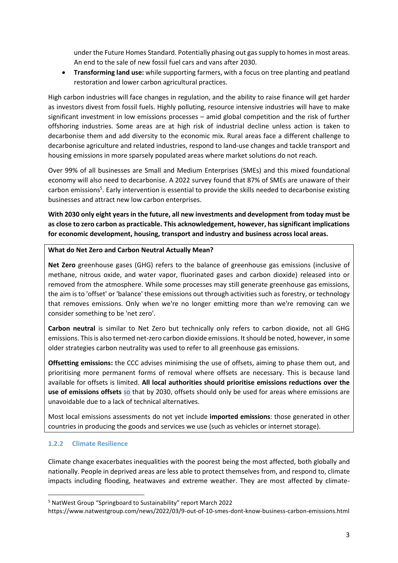under the Future Homes Standard. Potentially phasing out gas supply to homes in most areas. An end to the sale of new fossil fuel cars and vans after 2030.

• **Transforming land use:** while supporting farmers, with a focus on tree planting and peatland restoration and lower carbon agricultural practices.

High carbon industries will face changes in regulation, and the ability to raise finance will get harder as investors divest from fossil fuels. Highly polluting, resource intensive industries will have to make significant investment in low emissions processes – amid global competition and the risk of further offshoring industries. Some areas are at high risk of industrial decline unless action is taken to decarbonise them and add diversity to the economic mix. Rural areas face a different challenge to decarbonise agriculture and related industries, respond to land-use changes and tackle transport and housing emissions in more sparsely populated areas where market solutions do not reach.

Over 99% of all businesses are Small and Medium Enterprises (SMEs) and this mixed foundational economy will also need to decarbonise. A 2022 survey found that 87% of SMEs are unaware of their carbon emissions<sup>5</sup>. Early intervention is essential to provide the skills needed to decarbonise existing businesses and attract new low carbon enterprises.

**With 2030 only eight years in the future, all new investments and development from today must be as close to zero carbon as practicable. This acknowledgement, however, has significant implications for economic development, housing, transport and industry and business across local areas.**

#### **What do Net Zero and Carbon Neutral Actually Mean?**

**Net Zero** greenhouse gases (GHG) refers to the balance of greenhouse gas emissions (inclusive of methane, nitrous oxide, and water vapor, fluorinated gases and carbon dioxide) released into or removed from the atmosphere. While some processes may still generate greenhouse gas emissions, the aim is to 'offset' or 'balance' these emissions out through activities such as forestry, or technology that removes emissions. Only when we're no longer emitting more than we're removing can we consider something to be 'net zero'.

**Carbon neutral** is similar to Net Zero but technically only refers to carbon dioxide, not all GHG emissions. This is also termed net-zero carbon dioxide emissions. It should be noted, however, in some older strategies carbon neutrality was used to refer to all greenhouse gas emissions.

**Offsetting emissions:** the CCC advises minimising the use of offsets, aiming to phase them out, and prioritising more permanent forms of removal where offsets are necessary. This is because land available for offsets is limited. **All local authorities should prioritise emissions reductions over the use of emissions offsets** so that by 2030, offsets should only be used for areas where emissions are unavoidable due to a lack of technical alternatives.

Most local emissions assessments do not yet include **imported emissions**: those generated in other countries in producing the goods and services we use (such as vehicles or internet storage).

## **1.2.2 Climate Resilience**

Climate change exacerbates inequalities with the poorest being the most affected, both globally and nationally. People in deprived areas are less able to protect themselves from, and respond to, climate impacts including flooding, heatwaves and extreme weather. They are most affected by climate-

<sup>5</sup> NatWest Group "Springboard to Sustainability" report March 2022

https://www.natwestgroup.com/news/2022/03/9-out-of-10-smes-dont-know-business-carbon-emissions.html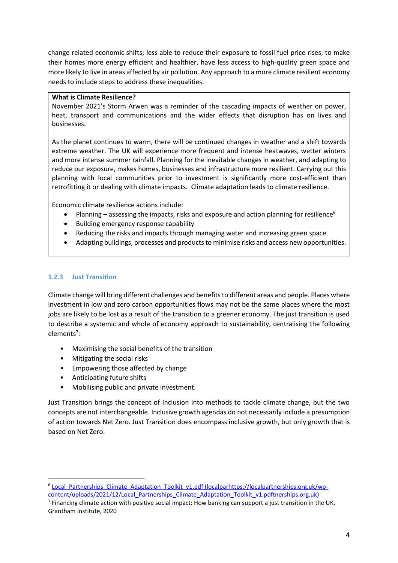change related economic shifts; less able to reduce their exposure to fossil fuel price rises, to make their homes more energy efficient and healthier, have less access to high-quality green space and more likely to live in areas affected by air pollution. Any approach to a more climate resilient economy needs to include steps to address these inequalities.

#### **What is Climate Resilience?**

November 2021's Storm Arwen was a reminder of the cascading impacts of weather on power, heat, transport and communications and the wider effects that disruption has on lives and businesses.

As the planet continues to warm, there will be continued changes in weather and a shift towards extreme weather. The UK will experience more frequent and intense heatwaves, wetter winters and more intense summer rainfall. Planning for the inevitable changes in weather, and adapting to reduce our exposure, makes homes, businesses and infrastructure more resilient. Carrying out this planning with local communities prior to investment is significantly more cost-efficient than retrofitting it or dealing with climate impacts. Climate adaptation leads to climate resilience.

Economic climate resilience actions include:

- Planning assessing the impacts, risks and exposure and action planning for resilience<sup>6</sup>
- Building emergency response capability
- Reducing the risks and impacts through managing water and increasing green space
- Adapting buildings, processes and products to minimise risks and access new opportunities.

#### **1.2.3 Just Transition**

Climate change will bring different challenges and benefits to different areas and people. Places where investment in low and zero carbon opportunities flows may not be the same places where the most jobs are likely to be lost as a result of the transition to a greener economy. The just transition is used to describe a systemic and whole of economy approach to sustainability, centralising the following elements<sup>7</sup>:

- Maximising the social benefits of the transition
- Mitigating the social risks
- Empowering those affected by change
- Anticipating future shifts
- Mobilising public and private investment.

Just Transition brings the concept of Inclusion into methods to tackle climate change, but the two concepts are not interchangeable. Inclusive growth agendas do not necessarily include a presumption of action towards Net Zero. Just Transition does encompass inclusive growth, but only growth that is based on Net Zero.

<sup>&</sup>lt;sup>6</sup> [Local\\_Partnerships\\_Climate\\_Adaptation\\_Toolkit\\_v1.pdf \(localparhttps://localpartnerships.org.uk/wp](https://localpartnerships.org.uk/wp-content/uploads/2021/12/Local_Partnerships_Climate_Adaptation_Toolkit_v1.pdf)content/uploads/2021/12/Local Partnerships Climate Adaptation Toolkit v1.pdftnerships.org.uk)

 $^7$  Financing climate action with positive social impact: How banking can support a just transition in the UK, Grantham Institute, 2020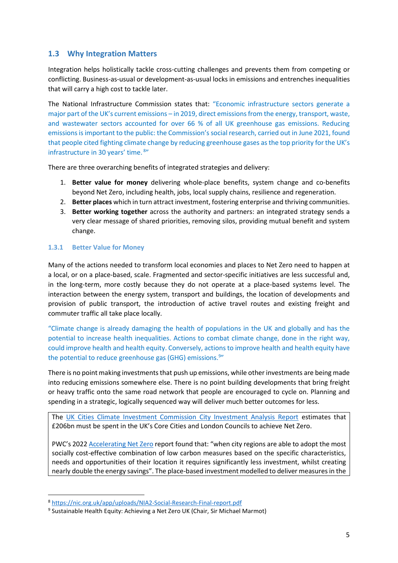## <span id="page-11-0"></span>**1.3 Why Integration Matters**

Integration helps holistically tackle cross-cutting challenges and prevents them from competing or conflicting. Business-as-usual or development-as-usual locks in emissions and entrenches inequalities that will carry a high cost to tackle later.

The National Infrastructure Commission states that: "Economic infrastructure sectors generate a major part of the UK's current emissions – in 2019, direct emissions from the energy, transport, waste, and wastewater sectors accounted for over 66 % of all UK greenhouse gas emissions. Reducing emissions is important to the public: the Commission's social research, carried out in June 2021, found that people cited fighting climate change by reducing greenhouse gases as the top priority for the UK's infrastructure in 30 years' time. <sup>8"</sup>

There are three overarching benefits of integrated strategies and delivery:

- 1. **Better value for money** delivering whole-place benefits, system change and co-benefits beyond Net Zero, including health, jobs, local supply chains, resilience and regeneration.
- 2. **Better places** which in turn attract investment, fostering enterprise and thriving communities.
- 3. **Better working together** across the authority and partners: an integrated strategy sends a very clear message of shared priorities, removing silos, providing mutual benefit and system change.

#### **1.3.1 Better Value for Money**

Many of the actions needed to transform local economies and places to Net Zero need to happen at a local, or on a place-based, scale. Fragmented and sector-specific initiatives are less successful and, in the long-term, more costly because they do not operate at a place-based systems level. The interaction between the energy system, transport and buildings, the location of developments and provision of public transport, the introduction of active travel routes and existing freight and commuter traffic all take place locally.

"Climate change is already damaging the health of populations in the UK and globally and has the potential to increase health inequalities. Actions to combat climate change, done in the right way, could improve health and health equity. Conversely, actions to improve health and health equity have the potential to reduce greenhouse gas (GHG) emissions.<sup>9"</sup>

There is no point making investments that push up emissions, while other investments are being made into reducing emissions somewhere else. There is no point building developments that bring freight or heavy traffic onto the same road network that people are encouraged to cycle on. Planning and spending in a strategic, logically sequenced way will deliver much better outcomes for less.

The [UK Cities Climate Investment Commission City Investment Analysis Report](https://cp.catapult.org.uk/news/uk-cities-climate-investment-commission-report/) estimates that £206bn must be spent in the UK's Core Cities and London Councils to achieve Net Zero.

PWC's 2022 [Accelerating Net Zero](https://www.ukri.org/wp-content/uploads/2022/03/IUK-090322-AcceleratingNetZeroDelivery-UnlockingBenefitsClimateActionUKCityRegions.pdf) report found that: "when city regions are able to adopt the most socially cost-effective combination of low carbon measures based on the specific characteristics, needs and opportunities of their location it requires significantly less investment, whilst creating nearly double the energy savings". The place-based investment modelled to deliver measures in the

<sup>8</sup> <https://nic.org.uk/app/uploads/NIA2-Social-Research-Final-report.pdf>

<sup>&</sup>lt;sup>9</sup> Sustainable Health Equity: Achieving a Net Zero UK (Chair, Sir Michael Marmot)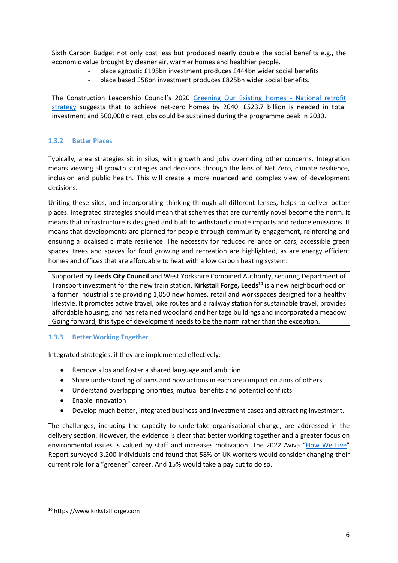Sixth Carbon Budget not only cost less but produced nearly double the social benefits e.g., the economic value brought by cleaner air, warmer homes and healthier people.

- place agnostic £195bn investment produces £444bn wider social benefits
- place based £58bn investment produces £825bn wider social benefits.

The Construction Leadership Council's 2020 [Greening Our Existing Homes -](https://cic.org.uk/news/article.php?s=2020-12-16-national-retrofit-strategy-consultative-document) National retrofit [strategy](https://cic.org.uk/news/article.php?s=2020-12-16-national-retrofit-strategy-consultative-document) suggests that to achieve net-zero homes by 2040, £523.7 billion is needed in total investment and 500,000 direct jobs could be sustained during the programme peak in 2030.

## **1.3.2 Better Places**

Typically, area strategies sit in silos, with growth and jobs overriding other concerns. Integration means viewing all growth strategies and decisions through the lens of Net Zero, climate resilience, inclusion and public health. This will create a more nuanced and complex view of development decisions.

Uniting these silos, and incorporating thinking through all different lenses, helps to deliver better places. Integrated strategies should mean that schemes that are currently novel become the norm. It means that infrastructure is designed and built to withstand climate impacts and reduce emissions. It means that developments are planned for people through community engagement, reinforcing and ensuring a localised climate resilience. The necessity for reduced reliance on cars, accessible green spaces, trees and spaces for food growing and recreation are highlighted, as are energy efficient homes and offices that are affordable to heat with a low carbon heating system.

Supported by **Leeds City Council** and West Yorkshire Combined Authority, securing Department of Transport investment for the new train station, **Kirkstall Forge, Leeds<sup>10</sup>** is a new neighbourhood on a former industrial site providing 1,050 new homes, retail and workspaces designed for a healthy lifestyle. It promotes active travel, bike routes and a railway station for sustainable travel, provides affordable housing, and has retained woodland and heritage buildings and incorporated a meadow Going forward, this type of development needs to be the norm rather than the exception.

#### **1.3.3 Better Working Together**

Integrated strategies, if they are implemented effectively:

- Remove silos and foster a shared language and ambition
- Share understanding of aims and how actions in each area impact on aims of others
- Understand overlapping priorities, mutual benefits and potential conflicts
- Enable innovation
- Develop much better, integrated business and investment cases and attracting investment.

The challenges, including the capacity to undertake organisational change, are addressed in the delivery section. However, the evidence is clear that better working together and a greater focus on environmental issues is valued by staff and increases motivation. The 2022 Aviva "[How We Live](https://www.aviva.com/newsroom/news-releases/2022/03/three-fifths-of-workers-consider-a-greener-role/)" Report surveyed 3,200 individuals and found that 58% of UK workers would consider changing their current role for a "greener" career. And 15% would take a pay cut to do so.

<sup>10</sup> https://www.kirkstallforge.com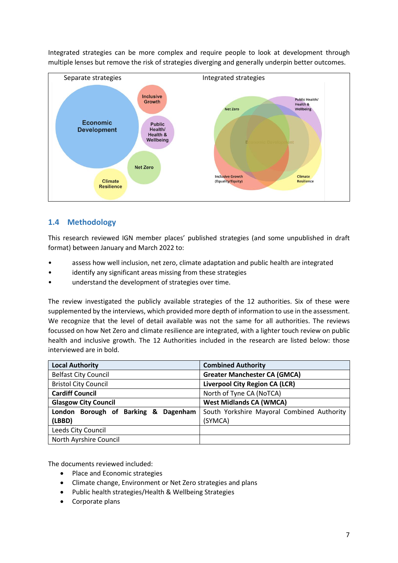

**Inclusive Growth** 

(Equality/Equity)

**Climate** 

Resilience

Integrated strategies can be more complex and require people to look at development through multiple lenses but remove the risk of strategies diverging and generally underpin better outcomes.

## <span id="page-13-0"></span>**1.4 Methodology**

Climate

**Resilience** 

This research reviewed IGN member places' published strategies (and some unpublished in draft format) between January and March 2022 to:

- assess how well inclusion, net zero, climate adaptation and public health are integrated
- identify any significant areas missing from these strategies
- understand the development of strategies over time.

The review investigated the publicly available strategies of the 12 authorities. Six of these were supplemented by the interviews, which provided more depth of information to use in the assessment. We recognize that the level of detail available was not the same for all authorities. The reviews focussed on how Net Zero and climate resilience are integrated, with a lighter touch review on public health and inclusive growth. The 12 Authorities included in the research are listed below: those interviewed are in bold.

| <b>Local Authority</b>                  | <b>Combined Authority</b>                  |
|-----------------------------------------|--------------------------------------------|
| <b>Belfast City Council</b>             | <b>Greater Manchester CA (GMCA)</b>        |
| <b>Bristol City Council</b>             | <b>Liverpool City Region CA (LCR)</b>      |
| <b>Cardiff Council</b>                  | North of Tyne CA (NoTCA)                   |
| <b>Glasgow City Council</b>             | <b>West Midlands CA (WMCA)</b>             |
| London Borough of Barking &<br>Dagenham | South Yorkshire Mayoral Combined Authority |
| (LBBD)                                  | (SYMCA)                                    |
| Leeds City Council                      |                                            |
| North Ayrshire Council                  |                                            |

The documents reviewed included:

- Place and Economic strategies
- Climate change, Environment or Net Zero strategies and plans
- Public health strategies/Health & Wellbeing Strategies
- Corporate plans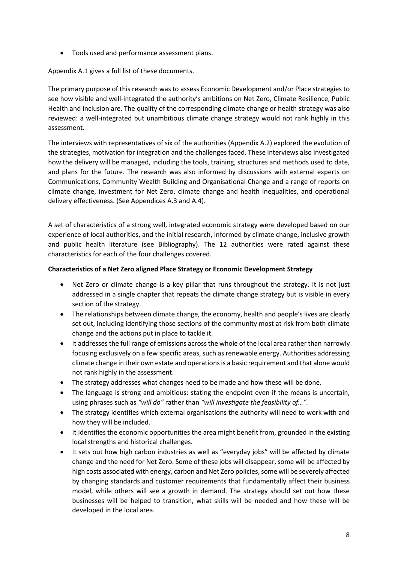• Tools used and performance assessment plans.

Appendix A.1 gives a full list of these documents.

The primary purpose of this research was to assess Economic Development and/or Place strategies to see how visible and well-integrated the authority's ambitions on Net Zero, Climate Resilience, Public Health and Inclusion are. The quality of the corresponding climate change or health strategy was also reviewed: a well-integrated but unambitious climate change strategy would not rank highly in this assessment.

The interviews with representatives of six of the authorities (Appendix A.2) explored the evolution of the strategies, motivation for integration and the challenges faced. These interviews also investigated how the delivery will be managed, including the tools, training, structures and methods used to date, and plans for the future. The research was also informed by discussions with external experts on Communications, Community Wealth Building and Organisational Change and a range of reports on climate change, investment for Net Zero, climate change and health inequalities, and operational delivery effectiveness. (See Appendices A.3 and A.4).

A set of characteristics of a strong well, integrated economic strategy were developed based on our experience of local authorities, and the initial research, informed by climate change, inclusive growth and public health literature (see Bibliography). The 12 authorities were rated against these characteristics for each of the four challenges covered.

#### **Characteristics of a Net Zero aligned Place Strategy or Economic Development Strategy**

- Net Zero or climate change is a key pillar that runs throughout the strategy. It is not just addressed in a single chapter that repeats the climate change strategy but is visible in every section of the strategy.
- The relationships between climate change, the economy, health and people's lives are clearly set out, including identifying those sections of the community most at risk from both climate change and the actions put in place to tackle it.
- It addresses the full range of emissions across the whole of the local area rather than narrowly focusing exclusively on a few specific areas, such as renewable energy. Authorities addressing climate change in their own estate and operations is a basic requirement and that alone would not rank highly in the assessment.
- The strategy addresses what changes need to be made and how these will be done.
- The language is strong and ambitious: stating the endpoint even if the means is uncertain, using phrases such as *"will do"* rather than *"will investigate the feasibility of…".*
- The strategy identifies which external organisations the authority will need to work with and how they will be included.
- It identifies the economic opportunities the area might benefit from, grounded in the existing local strengths and historical challenges.
- It sets out how high carbon industries as well as "everyday jobs" will be affected by climate change and the need for Net Zero. Some of these jobs will disappear, some will be affected by high costs associated with energy, carbon and Net Zero policies, some will be severely affected by changing standards and customer requirements that fundamentally affect their business model, while others will see a growth in demand. The strategy should set out how these businesses will be helped to transition, what skills will be needed and how these will be developed in the local area.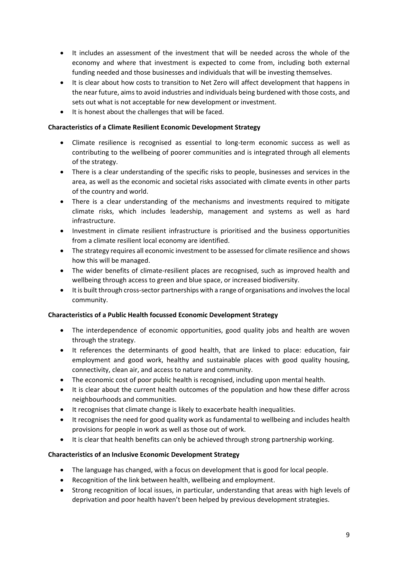- It includes an assessment of the investment that will be needed across the whole of the economy and where that investment is expected to come from, including both external funding needed and those businesses and individuals that will be investing themselves.
- It is clear about how costs to transition to Net Zero will affect development that happens in the near future, aims to avoid industries and individuals being burdened with those costs, and sets out what is not acceptable for new development or investment.
- It is honest about the challenges that will be faced.

#### **Characteristics of a Climate Resilient Economic Development Strategy**

- Climate resilience is recognised as essential to long-term economic success as well as contributing to the wellbeing of poorer communities and is integrated through all elements of the strategy.
- There is a clear understanding of the specific risks to people, businesses and services in the area, as well as the economic and societal risks associated with climate events in other parts of the country and world.
- There is a clear understanding of the mechanisms and investments required to mitigate climate risks, which includes leadership, management and systems as well as hard infrastructure.
- Investment in climate resilient infrastructure is prioritised and the business opportunities from a climate resilient local economy are identified.
- The strategy requires all economic investment to be assessed for climate resilience and shows how this will be managed.
- The wider benefits of climate-resilient places are recognised, such as improved health and wellbeing through access to green and blue space, or increased biodiversity.
- It is built through cross-sector partnerships with a range of organisations and involves the local community.

#### **Characteristics of a Public Health focussed Economic Development Strategy**

- The interdependence of economic opportunities, good quality jobs and health are woven through the strategy.
- It references the determinants of good health, that are linked to place: education, fair employment and good work, healthy and sustainable places with good quality housing, connectivity, clean air, and access to nature and community.
- The economic cost of poor public health is recognised, including upon mental health.
- It is clear about the current health outcomes of the population and how these differ across neighbourhoods and communities.
- It recognises that climate change is likely to exacerbate health inequalities.
- It recognises the need for good quality work as fundamental to wellbeing and includes health provisions for people in work as well as those out of work.
- It is clear that health benefits can only be achieved through strong partnership working.

#### **Characteristics of an Inclusive Economic Development Strategy**

- The language has changed, with a focus on development that is good for local people.
- Recognition of the link between health, wellbeing and employment.
- Strong recognition of local issues, in particular, understanding that areas with high levels of deprivation and poor health haven't been helped by previous development strategies.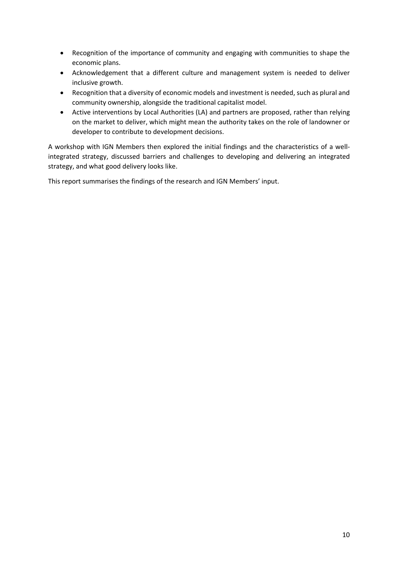- Recognition of the importance of community and engaging with communities to shape the economic plans.
- Acknowledgement that a different culture and management system is needed to deliver inclusive growth.
- Recognition that a diversity of economic models and investment is needed, such as plural and community ownership, alongside the traditional capitalist model.
- Active interventions by Local Authorities (LA) and partners are proposed, rather than relying on the market to deliver, which might mean the authority takes on the role of landowner or developer to contribute to development decisions.

A workshop with IGN Members then explored the initial findings and the characteristics of a wellintegrated strategy, discussed barriers and challenges to developing and delivering an integrated strategy, and what good delivery looks like.

This report summarises the findings of the research and IGN Members' input.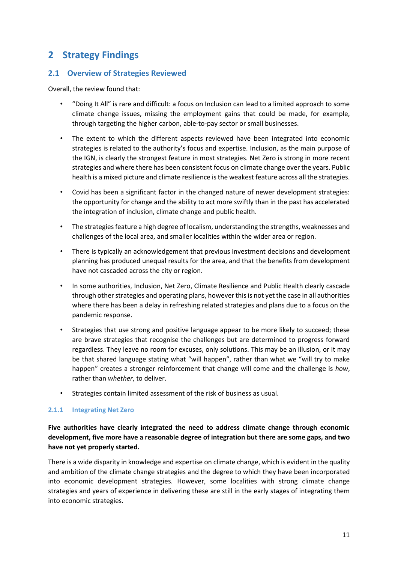# <span id="page-17-0"></span>**2 Strategy Findings**

#### <span id="page-17-1"></span>**2.1 Overview of Strategies Reviewed**

Overall, the review found that:

- "Doing It All" is rare and difficult: a focus on Inclusion can lead to a limited approach to some climate change issues, missing the employment gains that could be made, for example, through targeting the higher carbon, able-to-pay sector or small businesses.
- The extent to which the different aspects reviewed have been integrated into economic strategies is related to the authority's focus and expertise. Inclusion, as the main purpose of the IGN, is clearly the strongest feature in most strategies. Net Zero is strong in more recent strategies and where there has been consistent focus on climate change over the years. Public health is a mixed picture and climate resilience is the weakest feature across all the strategies.
- Covid has been a significant factor in the changed nature of newer development strategies: the opportunity for change and the ability to act more swiftly than in the past has accelerated the integration of inclusion, climate change and public health.
- The strategies feature a high degree of localism, understanding the strengths, weaknesses and challenges of the local area, and smaller localities within the wider area or region.
- There is typically an acknowledgement that previous investment decisions and development planning has produced unequal results for the area, and that the benefits from development have not cascaded across the city or region.
- In some authorities, Inclusion, Net Zero, Climate Resilience and Public Health clearly cascade through other strategies and operating plans, however this is not yet the case in all authorities where there has been a delay in refreshing related strategies and plans due to a focus on the pandemic response.
- Strategies that use strong and positive language appear to be more likely to succeed; these are brave strategies that recognise the challenges but are determined to progress forward regardless. They leave no room for excuses, only solutions. This may be an illusion, or it may be that shared language stating what "will happen", rather than what we "will try to make happen" creates a stronger reinforcement that change will come and the challenge is *how*, rather than *whether*, to deliver.
- Strategies contain limited assessment of the risk of business as usual.

#### **2.1.1 Integrating Net Zero**

## **Five authorities have clearly integrated the need to address climate change through economic development, five more have a reasonable degree of integration but there are some gaps, and two have not yet properly started.**

There is a wide disparity in knowledge and expertise on climate change, which is evident in the quality and ambition of the climate change strategies and the degree to which they have been incorporated into economic development strategies. However, some localities with strong climate change strategies and years of experience in delivering these are still in the early stages of integrating them into economic strategies.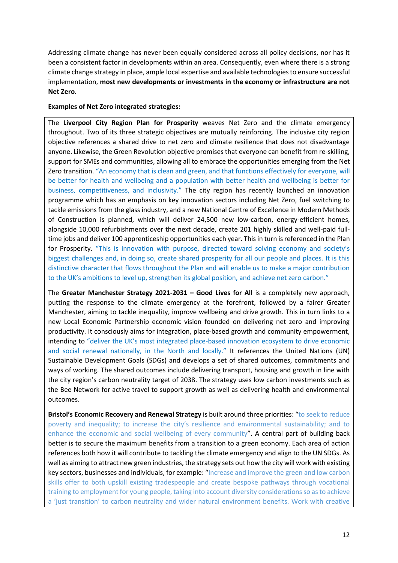Addressing climate change has never been equally considered across all policy decisions, nor has it been a consistent factor in developments within an area. Consequently, even where there is a strong climate change strategy in place, ample local expertise and available technologies to ensure successful implementation, **most new developments or investments in the economy or infrastructure are not Net Zero.**

#### **Examples of Net Zero integrated strategies:**

The **Liverpool City Region Plan for Prosperity** weaves Net Zero and the climate emergency throughout. Two of its three strategic objectives are mutually reinforcing. The inclusive city region objective references a shared drive to net zero and climate resilience that does not disadvantage anyone. Likewise, the Green Revolution objective promises that everyone can benefit from re-skilling, support for SMEs and communities, allowing all to embrace the opportunities emerging from the Net Zero transition. "An economy that is clean and green, and that functions effectively for everyone, will be better for health and wellbeing and a population with better health and wellbeing is better for business, competitiveness, and inclusivity." The city region has recently launched an innovation programme which has an emphasis on key innovation sectors including Net Zero, fuel switching to tackle emissions from the glass industry, and a new National Centre of Excellence in Modern Methods of Construction is planned, which will deliver 24,500 new low-carbon, energy-efficient homes, alongside 10,000 refurbishments over the next decade, create 201 highly skilled and well-paid fulltime jobs and deliver 100 apprenticeship opportunities each year. This in turn is referenced in the Plan for Prosperity. "This is innovation with purpose, directed toward solving economy and society's biggest challenges and, in doing so, create shared prosperity for all our people and places. It is this distinctive character that flows throughout the Plan and will enable us to make a major contribution to the UK's ambitions to level up, strengthen its global position, and achieve net zero carbon."

The **Greater Manchester Strategy 2021-2031 – Good Lives for All** is a completely new approach, putting the response to the climate emergency at the forefront, followed by a fairer Greater Manchester, aiming to tackle inequality, improve wellbeing and drive growth. This in turn links to a new Local Economic Partnership economic vision founded on delivering net zero and improving productivity. It consciously aims for integration, place-based growth and community empowerment, intending to "deliver the UK's most integrated place-based innovation ecosystem to drive economic and social renewal nationally, in the North and locally." It references the United Nations (UN) Sustainable Development Goals (SDGs) and develops a set of shared outcomes, commitments and ways of working. The shared outcomes include delivering transport, housing and growth in line with the city region's carbon neutrality target of 2038. The strategy uses low carbon investments such as the Bee Network for active travel to support growth as well as delivering health and environmental outcomes.

**Bristol's Economic Recovery and Renewal Strategy** is built around three priorities: "to seek to reduce poverty and inequality; to increase the city's resilience and environmental sustainability; and to enhance the economic and social wellbeing of every community". A central part of building back better is to secure the maximum benefits from a transition to a green economy. Each area of action references both how it will contribute to tackling the climate emergency and align to the UN SDGs. As well as aiming to attract new green industries, the strategy sets out how the city will work with existing key sectors, businesses and individuals, for example: "Increase and improve the green and low carbon skills offer to both upskill existing tradespeople and create bespoke pathways through vocational training to employment for young people, taking into account diversity considerations so as to achieve a 'just transition' to carbon neutrality and wider natural environment benefits. Work with creative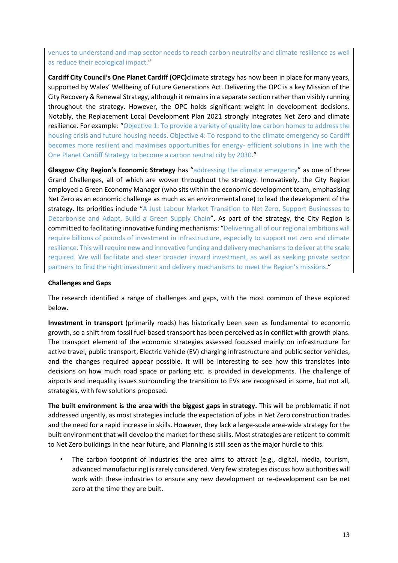venues to understand and map sector needs to reach carbon neutrality and climate resilience as well as reduce their ecological impact."

**Cardiff City Council's One Planet Cardiff (OPC)**climate strategy has now been in place for many years, supported by Wales' Wellbeing of Future Generations Act. Delivering the OPC is a key Mission of the City Recovery & Renewal Strategy, although it remains in a separate section rather than visibly running throughout the strategy. However, the OPC holds significant weight in development decisions. Notably, the Replacement Local Development Plan 2021 strongly integrates Net Zero and climate resilience. For example: "Objective 1: To provide a variety of quality low carbon homes to address the housing crisis and future housing needs. Objective 4: To respond to the climate emergency so Cardiff becomes more resilient and maximises opportunities for energy- efficient solutions in line with the One Planet Cardiff Strategy to become a carbon neutral city by 2030."

**Glasgow City Region's Economic Strategy** has "addressing the climate emergency" as one of three Grand Challenges, all of which are woven throughout the strategy. Innovatively, the City Region employed a Green Economy Manager (who sits within the economic development team, emphasising Net Zero as an economic challenge as much as an environmental one) to lead the development of the strategy. Its priorities include "A Just Labour Market Transition to Net Zero, Support Businesses to Decarbonise and Adapt, Build a Green Supply Chain". As part of the strategy, the City Region is committed to facilitating innovative funding mechanisms: "Delivering all of our regional ambitions will require billions of pounds of investment in infrastructure, especially to support net zero and climate resilience. This will require new and innovative funding and delivery mechanisms to deliver at the scale required. We will facilitate and steer broader inward investment, as well as seeking private sector partners to find the right investment and delivery mechanisms to meet the Region's missions."

#### **Challenges and Gaps**

The research identified a range of challenges and gaps, with the most common of these explored below.

**Investment in transport** (primarily roads) has historically been seen as fundamental to economic growth, so a shift from fossil fuel-based transport has been perceived as in conflict with growth plans. The transport element of the economic strategies assessed focussed mainly on infrastructure for active travel, public transport, Electric Vehicle (EV) charging infrastructure and public sector vehicles, and the changes required appear possible. It will be interesting to see how this translates into decisions on how much road space or parking etc. is provided in developments. The challenge of airports and inequality issues surrounding the transition to EVs are recognised in some, but not all, strategies, with few solutions proposed.

**The built environment is the area with the biggest gaps in strategy.** This will be problematic if not addressed urgently, as most strategies include the expectation of jobs in Net Zero construction trades and the need for a rapid increase in skills. However, they lack a large-scale area-wide strategy for the built environment that will develop the market for these skills. Most strategies are reticent to commit to Net Zero buildings in the near future, and Planning is still seen as the major hurdle to this.

The carbon footprint of industries the area aims to attract (e.g., digital, media, tourism, advanced manufacturing) is rarely considered. Very few strategies discuss how authorities will work with these industries to ensure any new development or re-development can be net zero at the time they are built.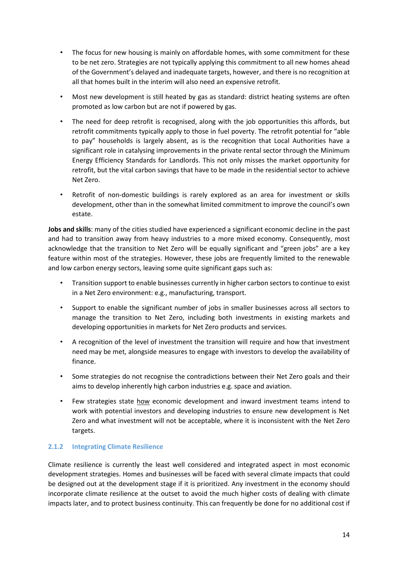- The focus for new housing is mainly on affordable homes, with some commitment for these to be net zero. Strategies are not typically applying this commitment to all new homes ahead of the Government's delayed and inadequate targets, however, and there is no recognition at all that homes built in the interim will also need an expensive retrofit.
- Most new development is still heated by gas as standard: district heating systems are often promoted as low carbon but are not if powered by gas.
- The need for deep retrofit is recognised, along with the job opportunities this affords, but retrofit commitments typically apply to those in fuel poverty. The retrofit potential for "able to pay" households is largely absent, as is the recognition that Local Authorities have a significant role in catalysing improvements in the private rental sector through the Minimum Energy Efficiency Standards for Landlords. This not only misses the market opportunity for retrofit, but the vital carbon savings that have to be made in the residential sector to achieve Net Zero.
- Retrofit of non-domestic buildings is rarely explored as an area for investment or skills development, other than in the somewhat limited commitment to improve the council's own estate.

**Jobs and skills**: many of the cities studied have experienced a significant economic decline in the past and had to transition away from heavy industries to a more mixed economy. Consequently, most acknowledge that the transition to Net Zero will be equally significant and "green jobs" are a key feature within most of the strategies. However, these jobs are frequently limited to the renewable and low carbon energy sectors, leaving some quite significant gaps such as:

- Transition support to enable businesses currently in higher carbon sectors to continue to exist in a Net Zero environment: e.g., manufacturing, transport.
- Support to enable the significant number of jobs in smaller businesses across all sectors to manage the transition to Net Zero, including both investments in existing markets and developing opportunities in markets for Net Zero products and services.
- A recognition of the level of investment the transition will require and how that investment need may be met, alongside measures to engage with investors to develop the availability of finance.
- Some strategies do not recognise the contradictions between their Net Zero goals and their aims to develop inherently high carbon industries e.g. space and aviation.
- Few strategies state how economic development and inward investment teams intend to work with potential investors and developing industries to ensure new development is Net Zero and what investment will not be acceptable, where it is inconsistent with the Net Zero targets.

#### **2.1.2 Integrating Climate Resilience**

Climate resilience is currently the least well considered and integrated aspect in most economic development strategies. Homes and businesses will be faced with several climate impacts that could be designed out at the development stage if it is prioritized. Any investment in the economy should incorporate climate resilience at the outset to avoid the much higher costs of dealing with climate impacts later, and to protect business continuity. This can frequently be done for no additional cost if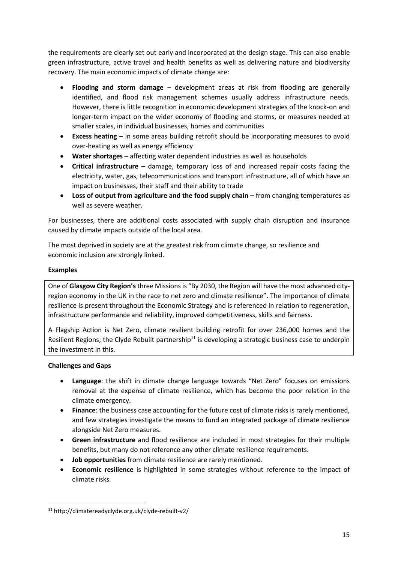the requirements are clearly set out early and incorporated at the design stage. This can also enable green infrastructure, active travel and health benefits as well as delivering nature and biodiversity recovery. The main economic impacts of climate change are:

- **Flooding and storm damage** development areas at risk from flooding are generally identified, and flood risk management schemes usually address infrastructure needs. However, there is little recognition in economic development strategies of the knock-on and longer-term impact on the wider economy of flooding and storms, or measures needed at smaller scales, in individual businesses, homes and communities
- **Excess heating** in some areas building retrofit should be incorporating measures to avoid over-heating as well as energy efficiency
- **Water shortages –** affecting water dependent industries as well as households
- **Critical infrastructure** damage, temporary loss of and increased repair costs facing the electricity, water, gas, telecommunications and transport infrastructure, all of which have an impact on businesses, their staff and their ability to trade
- **Loss of output from agriculture and the food supply chain –** from changing temperatures as well as severe weather.

For businesses, there are additional costs associated with supply chain disruption and insurance caused by climate impacts outside of the local area.

The most deprived in society are at the greatest risk from climate change, so resilience and economic inclusion are strongly linked.

## **Examples**

One of **Glasgow City Region's**three Missions is "By 2030, the Region will have the most advanced cityregion economy in the UK in the race to net zero and climate resilience". The importance of climate resilience is present throughout the Economic Strategy and is referenced in relation to regeneration, infrastructure performance and reliability, improved competitiveness, skills and fairness.

A Flagship Action is Net Zero, climate resilient building retrofit for over 236,000 homes and the Resilient Regions; the Clyde Rebuilt partnership<sup>11</sup> is developing a strategic business case to underpin the investment in this.

#### **Challenges and Gaps**

- **Language**: the shift in climate change language towards "Net Zero" focuses on emissions removal at the expense of climate resilience, which has become the poor relation in the climate emergency.
- **Finance**: the business case accounting for the future cost of climate risks is rarely mentioned, and few strategies investigate the means to fund an integrated package of climate resilience alongside Net Zero measures.
- **Green infrastructure** and flood resilience are included in most strategies for their multiple benefits, but many do not reference any other climate resilience requirements.
- **Job opportunities** from climate resilience are rarely mentioned.
- **Economic resilience** is highlighted in some strategies without reference to the impact of climate risks.

<sup>11</sup> http://climatereadyclyde.org.uk/clyde-rebuilt-v2/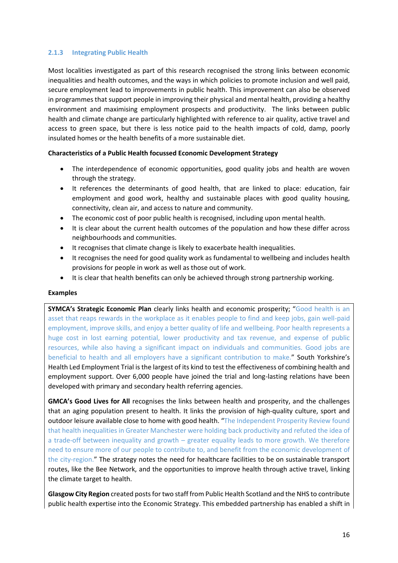#### **2.1.3 Integrating Public Health**

Most localities investigated as part of this research recognised the strong links between economic inequalities and health outcomes, and the ways in which policies to promote inclusion and well paid, secure employment lead to improvements in public health. This improvement can also be observed in programmes that support people in improving their physical and mental health, providing a healthy environment and maximising employment prospects and productivity. The links between public health and climate change are particularly highlighted with reference to air quality, active travel and access to green space, but there is less notice paid to the health impacts of cold, damp, poorly insulated homes or the health benefits of a more sustainable diet.

#### **Characteristics of a Public Health focussed Economic Development Strategy**

- The interdependence of economic opportunities, good quality jobs and health are woven through the strategy.
- It references the determinants of good health, that are linked to place: education, fair employment and good work, healthy and sustainable places with good quality housing, connectivity, clean air, and access to nature and community.
- The economic cost of poor public health is recognised, including upon mental health.
- It is clear about the current health outcomes of the population and how these differ across neighbourhoods and communities.
- It recognises that climate change is likely to exacerbate health inequalities.
- It recognises the need for good quality work as fundamental to wellbeing and includes health provisions for people in work as well as those out of work.
- It is clear that health benefits can only be achieved through strong partnership working.

#### **Examples**

**SYMCA's Strategic Economic Plan** clearly links health and economic prosperity; "Good health is an asset that reaps rewards in the workplace as it enables people to find and keep jobs, gain well-paid employment, improve skills, and enjoy a better quality of life and wellbeing. Poor health represents a huge cost in lost earning potential, lower productivity and tax revenue, and expense of public resources, while also having a significant impact on individuals and communities. Good jobs are beneficial to health and all employers have a significant contribution to make." South Yorkshire's Health Led Employment Trial is the largest of its kind to test the effectiveness of combining health and employment support. Over 6,000 people have joined the trial and long-lasting relations have been developed with primary and secondary health referring agencies.

**GMCA's Good Lives for All** recognises the links between health and prosperity, and the challenges that an aging population present to health. It links the provision of high-quality culture, sport and outdoor leisure available close to home with good health. "The Independent Prosperity Review found that health inequalities in Greater Manchester were holding back productivity and refuted the idea of a trade-off between inequality and growth – greater equality leads to more growth. We therefore need to ensure more of our people to contribute to, and benefit from the economic development of the city-region." The strategy notes the need for healthcare facilities to be on sustainable transport routes, like the Bee Network, and the opportunities to improve health through active travel, linking the climate target to health.

**Glasgow City Region** created posts for two staff from Public Health Scotland and the NHS to contribute public health expertise into the Economic Strategy. This embedded partnership has enabled a shift in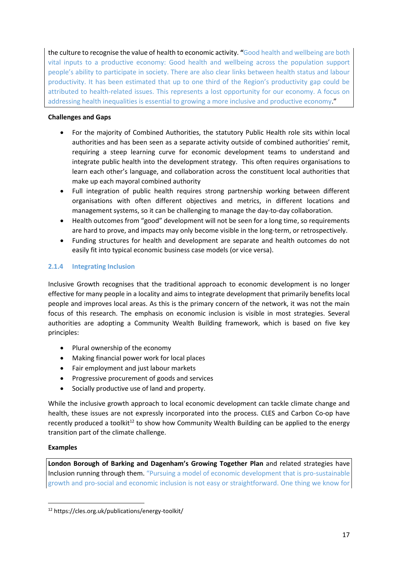the culture to recognise the value of health to economic activity. **"**Good health and wellbeing are both vital inputs to a productive economy: Good health and wellbeing across the population support people's ability to participate in society. There are also clear links between health status and labour productivity. It has been estimated that up to one third of the Region's productivity gap could be attributed to health-related issues. This represents a lost opportunity for our economy. A focus on addressing health inequalities is essential to growing a more inclusive and productive economy."

## **Challenges and Gaps**

- For the majority of Combined Authorities, the statutory Public Health role sits within local authorities and has been seen as a separate activity outside of combined authorities' remit, requiring a steep learning curve for economic development teams to understand and integrate public health into the development strategy. This often requires organisations to learn each other's language, and collaboration across the constituent local authorities that make up each mayoral combined authority
- Full integration of public health requires strong partnership working between different organisations with often different objectives and metrics, in different locations and management systems, so it can be challenging to manage the day-to-day collaboration.
- Health outcomes from "good" development will not be seen for a long time, so requirements are hard to prove, and impacts may only become visible in the long-term, or retrospectively.
- Funding structures for health and development are separate and health outcomes do not easily fit into typical economic business case models (or vice versa).

## **2.1.4 Integrating Inclusion**

Inclusive Growth recognises that the traditional approach to economic development is no longer effective for many people in a locality and aims to integrate development that primarily benefits local people and improves local areas. As this is the primary concern of the network, it was not the main focus of this research. The emphasis on economic inclusion is visible in most strategies. Several authorities are adopting a Community Wealth Building framework, which is based on five key principles:

- Plural ownership of the economy
- Making financial power work for local places
- Fair employment and just labour markets
- Progressive procurement of goods and services
- Socially productive use of land and property.

While the inclusive growth approach to local economic development can tackle climate change and health, these issues are not expressly incorporated into the process. CLES and Carbon Co-op have recently produced a toolkit<sup>12</sup> to show how Community Wealth Building can be applied to the energy transition part of the climate challenge.

#### **Examples**

**London Borough of Barking and Dagenham's Growing Together Plan** and related strategies have Inclusion running through them. "Pursuing a model of economic development that is pro-sustainable growth and pro-social and economic inclusion is not easy or straightforward. One thing we know for

<sup>12</sup> https://cles.org.uk/publications/energy-toolkit/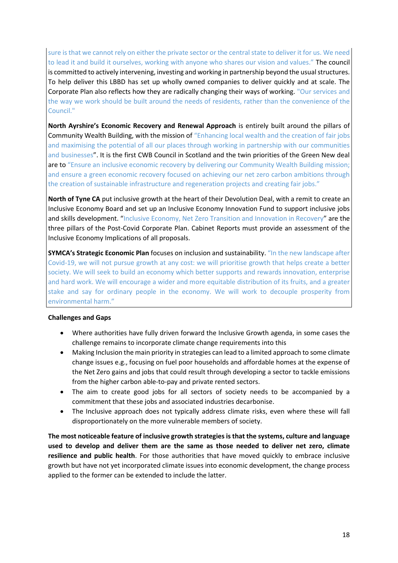sure is that we cannot rely on either the private sector or the central state to deliver it for us. We need to lead it and build it ourselves, working with anyone who shares our vision and values." The council is committed to actively intervening, investing and working in partnership beyond the usual structures. To help deliver this LBBD has set up wholly owned companies to deliver quickly and at scale. The Corporate Plan also reflects how they are radically changing their ways of working. "Our services and the way we work should be built around the needs of residents, rather than the convenience of the Council."

**North Ayrshire's Economic Recovery and Renewal Approach** is entirely built around the pillars of Community Wealth Building, with the mission of "Enhancing local wealth and the creation of fair jobs and maximising the potential of all our places through working in partnership with our communities and businesses". It is the first CWB Council in Scotland and the twin priorities of the Green New deal are to "Ensure an inclusive economic recovery by delivering our Community Wealth Building mission; and ensure a green economic recovery focused on achieving our net zero carbon ambitions through the creation of sustainable infrastructure and regeneration projects and creating fair jobs."

**North of Tyne CA** put inclusive growth at the heart of their Devolution Deal, with a remit to create an Inclusive Economy Board and set up an Inclusive Economy Innovation Fund to support inclusive jobs and skills development. "Inclusive Economy, Net Zero Transition and Innovation in Recovery" are the three pillars of the Post-Covid Corporate Plan. Cabinet Reports must provide an assessment of the Inclusive Economy Implications of all proposals.

**SYMCA's Strategic Economic Plan** focuses on inclusion and sustainability. "In the new landscape after Covid-19, we will not pursue growth at any cost: we will prioritise growth that helps create a better society. We will seek to build an economy which better supports and rewards innovation, enterprise and hard work. We will encourage a wider and more equitable distribution of its fruits, and a greater stake and say for ordinary people in the economy. We will work to decouple prosperity from environmental harm."

#### **Challenges and Gaps**

- Where authorities have fully driven forward the Inclusive Growth agenda, in some cases the challenge remains to incorporate climate change requirements into this
- Making Inclusion the main priority in strategies can lead to a limited approach to some climate change issues e.g., focusing on fuel poor households and affordable homes at the expense of the Net Zero gains and jobs that could result through developing a sector to tackle emissions from the higher carbon able-to-pay and private rented sectors.
- The aim to create good jobs for all sectors of society needs to be accompanied by a commitment that these jobs and associated industries decarbonise.
- The Inclusive approach does not typically address climate risks, even where these will fall disproportionately on the more vulnerable members of society.

**The most noticeable feature of inclusive growth strategies is that the systems, culture and language used to develop and deliver them are the same as those needed to deliver net zero, climate resilience and public health**. For those authorities that have moved quickly to embrace inclusive growth but have not yet incorporated climate issues into economic development, the change process applied to the former can be extended to include the latter.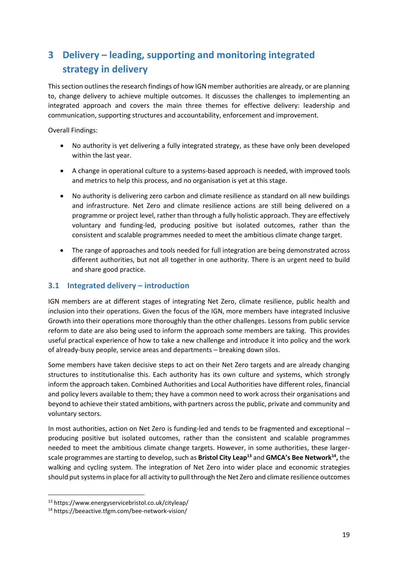# <span id="page-25-0"></span>**3 Delivery – leading, supporting and monitoring integrated strategy in delivery**

This section outlines the research findings of how IGN member authorities are already, or are planning to, change delivery to achieve multiple outcomes. It discusses the challenges to implementing an integrated approach and covers the main three themes for effective delivery: leadership and communication, supporting structures and accountability, enforcement and improvement.

Overall Findings:

- No authority is yet delivering a fully integrated strategy, as these have only been developed within the last year.
- A change in operational culture to a systems-based approach is needed, with improved tools and metrics to help this process, and no organisation is yet at this stage.
- No authority is delivering zero carbon and climate resilience as standard on all new buildings and infrastructure. Net Zero and climate resilience actions are still being delivered on a programme or project level, rather than through a fully holistic approach. They are effectively voluntary and funding-led, producing positive but isolated outcomes, rather than the consistent and scalable programmes needed to meet the ambitious climate change target.
- The range of approaches and tools needed for full integration are being demonstrated across different authorities, but not all together in one authority. There is an urgent need to build and share good practice.

## <span id="page-25-1"></span>**3.1 Integrated delivery – introduction**

IGN members are at different stages of integrating Net Zero, climate resilience, public health and inclusion into their operations. Given the focus of the IGN, more members have integrated Inclusive Growth into their operations more thoroughly than the other challenges. Lessons from public service reform to date are also being used to inform the approach some members are taking. This provides useful practical experience of how to take a new challenge and introduce it into policy and the work of already-busy people, service areas and departments – breaking down silos.

Some members have taken decisive steps to act on their Net Zero targets and are already changing structures to institutionalise this. Each authority has its own culture and systems, which strongly inform the approach taken. Combined Authorities and Local Authorities have different roles, financial and policy levers available to them; they have a common need to work across their organisations and beyond to achieve their stated ambitions, with partners across the public, private and community and voluntary sectors.

In most authorities, action on Net Zero is funding-led and tends to be fragmented and exceptional – producing positive but isolated outcomes, rather than the consistent and scalable programmes needed to meet the ambitious climate change targets. However, in some authorities, these largerscale programmes are starting to develop, such as **Bristol City Leap<sup>13</sup>** and **GMCA's Bee Network<sup>14</sup> ,** the walking and cycling system. The integration of Net Zero into wider place and economic strategies should put systems in place for all activity to pull through the Net Zero and climate resilience outcomes

<sup>13</sup> https://www.energyservicebristol.co.uk/cityleap/

<sup>14</sup> https://beeactive.tfgm.com/bee-network-vision/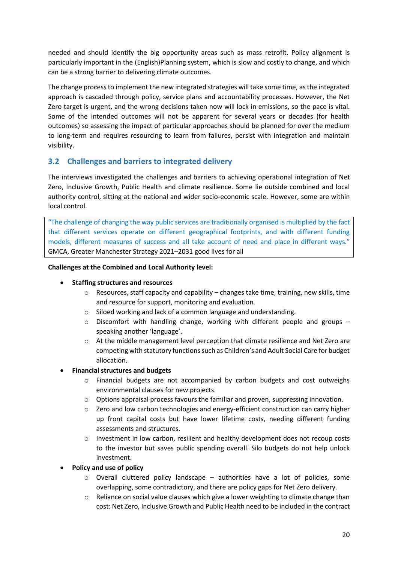needed and should identify the big opportunity areas such as mass retrofit. Policy alignment is particularly important in the (English)Planning system, which is slow and costly to change, and which can be a strong barrier to delivering climate outcomes.

The change process to implement the new integrated strategies will take some time, as the integrated approach is cascaded through policy, service plans and accountability processes. However, the Net Zero target is urgent, and the wrong decisions taken now will lock in emissions, so the pace is vital. Some of the intended outcomes will not be apparent for several years or decades (for health outcomes) so assessing the impact of particular approaches should be planned for over the medium to long-term and requires resourcing to learn from failures, persist with integration and maintain visibility.

## <span id="page-26-0"></span>**3.2 Challenges and barriers to integrated delivery**

The interviews investigated the challenges and barriers to achieving operational integration of Net Zero, Inclusive Growth, Public Health and climate resilience. Some lie outside combined and local authority control, sitting at the national and wider socio-economic scale. However, some are within local control.

"The challenge of changing the way public services are traditionally organised is multiplied by the fact that different services operate on different geographical footprints, and with different funding models, different measures of success and all take account of need and place in different ways." GMCA, Greater Manchester Strategy 2021–2031 good lives for all

#### **Challenges at the Combined and Local Authority level:**

#### • **Staffing structures and resources**

- $\circ$  Resources, staff capacity and capability changes take time, training, new skills, time and resource for support, monitoring and evaluation.
- o Siloed working and lack of a common language and understanding.
- $\circ$  Discomfort with handling change, working with different people and groups speaking another 'language'.
- $\circ$  At the middle management level perception that climate resilience and Net Zero are competing with statutory functions such as Children's and Adult Social Care for budget allocation.

#### • **Financial structures and budgets**

- o Financial budgets are not accompanied by carbon budgets and cost outweighs environmental clauses for new projects.
- $\circ$  Options appraisal process favours the familiar and proven, suppressing innovation.
- $\circ$  Zero and low carbon technologies and energy-efficient construction can carry higher up front capital costs but have lower lifetime costs, needing different funding assessments and structures.
- $\circ$  Investment in low carbon, resilient and healthy development does not recoup costs to the investor but saves public spending overall. Silo budgets do not help unlock investment.
- **Policy and use of policy**
	- o Overall cluttered policy landscape authorities have a lot of policies, some overlapping, some contradictory, and there are policy gaps for Net Zero delivery.
	- $\circ$  Reliance on social value clauses which give a lower weighting to climate change than cost: Net Zero, Inclusive Growth and Public Health need to be included in the contract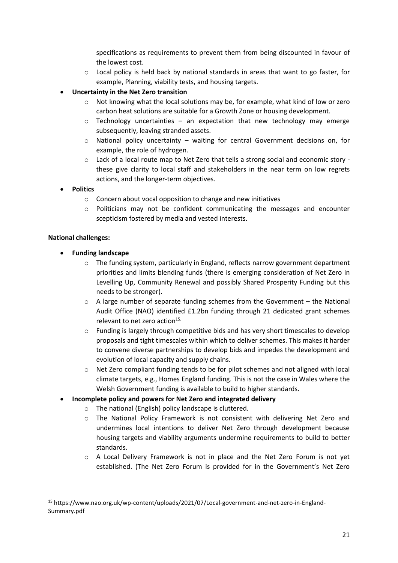specifications as requirements to prevent them from being discounted in favour of the lowest cost.

- o Local policy is held back by national standards in areas that want to go faster, for example, Planning, viability tests, and housing targets.
- **Uncertainty in the Net Zero transition**
	- $\circ$  Not knowing what the local solutions may be, for example, what kind of low or zero carbon heat solutions are suitable for a Growth Zone or housing development.
	- $\circ$  Technology uncertainties an expectation that new technology may emerge subsequently, leaving stranded assets.
	- o National policy uncertainty waiting for central Government decisions on, for example, the role of hydrogen.
	- o Lack of a local route map to Net Zero that tells a strong social and economic story these give clarity to local staff and stakeholders in the near term on low regrets actions, and the longer-term objectives.
- **Politics**
	- o Concern about vocal opposition to change and new initiatives
	- o Politicians may not be confident communicating the messages and encounter scepticism fostered by media and vested interests.

## **National challenges:**

- **Funding landscape** 
	- $\circ$  The funding system, particularly in England, reflects narrow government department priorities and limits blending funds (there is emerging consideration of Net Zero in Levelling Up, Community Renewal and possibly Shared Prosperity Funding but this needs to be stronger).
	- $\circ$  A large number of separate funding schemes from the Government the National Audit Office (NAO) identified £1.2bn funding through 21 dedicated grant schemes relevant to net zero action $15$ .
	- o Funding is largely through competitive bids and has very short timescales to develop proposals and tight timescales within which to deliver schemes. This makes it harder to convene diverse partnerships to develop bids and impedes the development and evolution of local capacity and supply chains.
	- o Net Zero compliant funding tends to be for pilot schemes and not aligned with local climate targets, e.g., Homes England funding. This is not the case in Wales where the Welsh Government funding is available to build to higher standards.
- **Incomplete policy and powers for Net Zero and integrated delivery**
	- o The national (English) policy landscape is cluttered.
	- o The National Policy Framework is not consistent with delivering Net Zero and undermines local intentions to deliver Net Zero through development because housing targets and viability arguments undermine requirements to build to better standards.
	- o A Local Delivery Framework is not in place and the Net Zero Forum is not yet established. (The Net Zero Forum is provided for in the Government's Net Zero

<sup>15</sup> https://www.nao.org.uk/wp-content/uploads/2021/07/Local-government-and-net-zero-in-England-Summary.pdf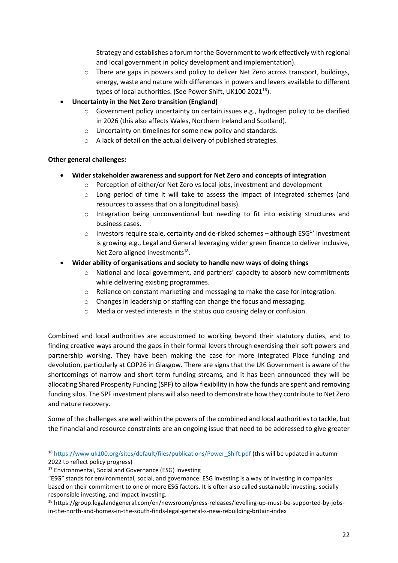Strategy and establishes a forum for the Government to work effectively with regional and local government in policy development and implementation).

- $\circ$  There are gaps in powers and policy to deliver Net Zero across transport, buildings, energy, waste and nature with differences in powers and levers available to different types of local authorities. (See Power Shift, UK100 2021 $^{16}$ ).
- **Uncertainty in the Net Zero transition (England)** 
	- $\circ$  Government policy uncertainty on certain issues e.g., hydrogen policy to be clarified in 2026 (this also affects Wales, Northern Ireland and Scotland).
	- o Uncertainty on timelines for some new policy and standards.
	- o A lack of detail on the actual delivery of published strategies.

#### **Other general challenges:**

- **Wider stakeholder awareness and support for Net Zero and concepts of integration**
	- o Perception of either/or Net Zero vs local jobs, investment and development
	- $\circ$  Long period of time it will take to assess the impact of integrated schemes (and resources to assess that on a longitudinal basis).
	- o Integration being unconventional but needing to fit into existing structures and business cases.
	- $\circ$  Investors require scale, certainty and de-risked schemes although ESG<sup>17</sup> investment is growing e.g., Legal and General leveraging wider green finance to deliver inclusive, Net Zero aligned investments<sup>18</sup>.
- **Wider ability of organisations and society to handle new ways of doing things** 
	- $\circ$  National and local government, and partners' capacity to absorb new commitments while delivering existing programmes.
	- o Reliance on constant marketing and messaging to make the case for integration.
	- o Changes in leadership or staffing can change the focus and messaging.
	- o Media or vested interests in the status quo causing delay or confusion.

Combined and local authorities are accustomed to working beyond their statutory duties, and to finding creative ways around the gaps in their formal levers through exercising their soft powers and partnership working. They have been making the case for more integrated Place funding and devolution, particularly at COP26 in Glasgow. There are signs that the UK Government is aware of the shortcomings of narrow and short-term funding streams, and it has been announced they will be allocating Shared Prosperity Funding (SPF) to allow flexibility in how the funds are spent and removing funding silos. The SPF investment plans will also need to demonstrate how they contribute to Net Zero and nature recovery.

Some of the challenges are well within the powers of the combined and local authorities to tackle, but the financial and resource constraints are an ongoing issue that need to be addressed to give greater

<sup>&</sup>lt;sup>16</sup> [https://www.uk100.org/sites/default/files/publications/Power\\_Shift.pdf](https://www.uk100.org/sites/default/files/publications/Power_Shift.pdf) (this will be updated in autumn 2022 to reflect policy progress)

<sup>&</sup>lt;sup>17</sup> Environmental, Social and Governance (ESG) Investing

<sup>&</sup>quot;ESG" stands for environmental, social, and governance. ESG investing is a way of investing in companies based on their commitment to one or more ESG factors. It is often also called sustainable investing, socially responsible investing, and impact investing.

<sup>18</sup> https://group.legalandgeneral.com/en/newsroom/press-releases/levelling-up-must-be-supported-by-jobsin-the-north-and-homes-in-the-south-finds-legal-general-s-new-rebuilding-britain-index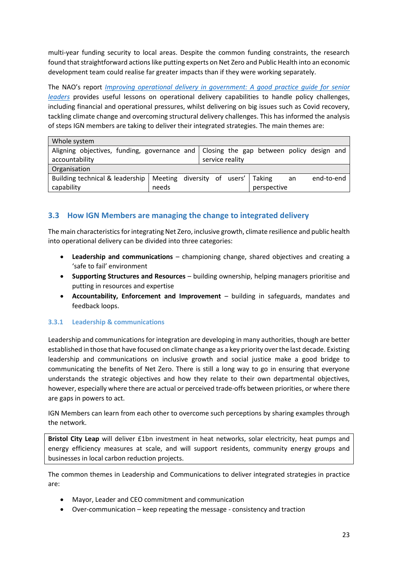multi-year funding security to local areas. Despite the common funding constraints, the research found that straightforward actions like putting experts on Net Zero and Public Health into an economic development team could realise far greater impacts than if they were working separately.

The NAO's report *[Improving operational delivery in government: A good p](https://www.nao.org.uk/wp-content/uploads/2021/03/Improving-operational-delivery-in-government-main.pdf)ractice guide for senior leaders* provides useful lessons on operational delivery capabilities to handle policy challenges, including financial and operational pressures, whilst delivering on big issues such as Covid recovery, tackling climate change and overcoming structural delivery challenges. This has informed the analysis of steps IGN members are taking to deliver their integrated strategies. The main themes are:

| Whole system                                                                           |                                    |  |  |  |                 |             |    |            |  |
|----------------------------------------------------------------------------------------|------------------------------------|--|--|--|-----------------|-------------|----|------------|--|
| Aligning objectives, funding, governance and Closing the gap between policy design and |                                    |  |  |  |                 |             |    |            |  |
| accountability                                                                         |                                    |  |  |  | service reality |             |    |            |  |
| Organisation                                                                           |                                    |  |  |  |                 |             |    |            |  |
| Building technical & leadership                                                        | Meeting diversity of users' Taking |  |  |  |                 |             | an | end-to-end |  |
| capability                                                                             | needs                              |  |  |  |                 | perspective |    |            |  |

## <span id="page-29-0"></span>**3.3 How IGN Members are managing the change to integrated delivery**

The main characteristics for integrating Net Zero, inclusive growth, climate resilience and public health into operational delivery can be divided into three categories:

- **Leadership and communications** championing change, shared objectives and creating a 'safe to fail' environment
- **Supporting Structures and Resources** building ownership, helping managers prioritise and putting in resources and expertise
- **Accountability, Enforcement and Improvement** building in safeguards, mandates and feedback loops.

#### **3.3.1 Leadership & communications**

Leadership and communications for integration are developing in many authorities, though are better established in those that have focused on climate change as a key priority over the last decade. Existing leadership and communications on inclusive growth and social justice make a good bridge to communicating the benefits of Net Zero. There is still a long way to go in ensuring that everyone understands the strategic objectives and how they relate to their own departmental objectives, however, especially where there are actual or perceived trade-offs between priorities, or where there are gaps in powers to act.

IGN Members can learn from each other to overcome such perceptions by sharing examples through the network.

**Bristol City Leap** will deliver £1bn investment in heat networks, solar electricity, heat pumps and energy efficiency measures at scale, and will support residents, community energy groups and businesses in local carbon reduction projects.

The common themes in Leadership and Communications to deliver integrated strategies in practice are:

- Mayor, Leader and CEO commitment and communication
- Over-communication keep repeating the message consistency and traction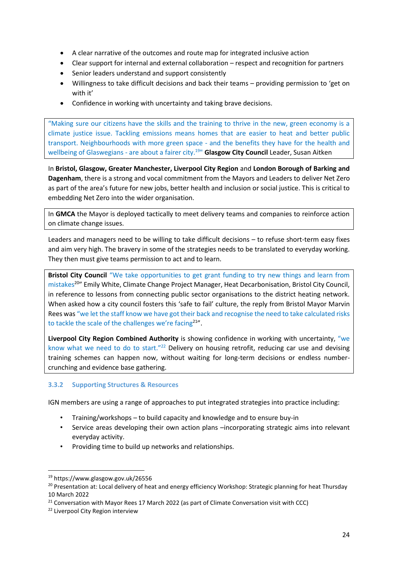- A clear narrative of the outcomes and route map for integrated inclusive action
- Clear support for internal and external collaboration respect and recognition for partners
- Senior leaders understand and support consistently
- Willingness to take difficult decisions and back their teams providing permission to 'get on with it'
- Confidence in working with uncertainty and taking brave decisions.

"Making sure our citizens have the skills and the training to thrive in the new, green economy is a climate justice issue. Tackling emissions means homes that are easier to heat and better public transport. Neighbourhoods with more green space - and the benefits they have for the health and wellbeing of Glaswegians - are about a fairer city.<sup>19</sup>" **Glasgow City Council** Leader, Susan Aitken

In **Bristol, Glasgow, Greater Manchester, Liverpool City Region** and **London Borough of Barking and Dagenham**, there is a strong and vocal commitment from the Mayors and Leaders to deliver Net Zero as part of the area's future for new jobs, better health and inclusion or social justice. This is critical to embedding Net Zero into the wider organisation.

In **GMCA** the Mayor is deployed tactically to meet delivery teams and companies to reinforce action on climate change issues.

Leaders and managers need to be willing to take difficult decisions – to refuse short-term easy fixes and aim very high. The bravery in some of the strategies needs to be translated to everyday working. They then must give teams permission to act and to learn.

**Bristol City Council** "We take opportunities to get grant funding to try new things and learn from mistakes<sup>20</sup>" Emily White, Climate Change Project Manager, Heat Decarbonisation, Bristol City Council, in reference to lessons from connecting public sector organisations to the district heating network. When asked how a city council fosters this 'safe to fail' culture, the reply from Bristol Mayor Marvin Rees was "we let the staff know we have got their back and recognise the need to take calculated risks to tackle the scale of the challenges we're facing<sup>21"</sup>.

**Liverpool City Region Combined Authority** is showing confidence in working with uncertainty, "we know what we need to do to start."<sup>22</sup> Delivery on housing retrofit, reducing car use and devising training schemes can happen now, without waiting for long-term decisions or endless numbercrunching and evidence base gathering.

#### **3.3.2 Supporting Structures & Resources**

IGN members are using a range of approaches to put integrated strategies into practice including:

- Training/workshops to build capacity and knowledge and to ensure buy-in
- Service areas developing their own action plans –incorporating strategic aims into relevant everyday activity.
- Providing time to build up networks and relationships.

<sup>19</sup> https://www.glasgow.gov.uk/26556

<sup>&</sup>lt;sup>20</sup> Presentation at: Local delivery of heat and energy efficiency Workshop: Strategic planning for heat Thursday 10 March 2022

 $21$  Conversation with Mayor Rees 17 March 2022 (as part of Climate Conversation visit with CCC)

<sup>22</sup> Liverpool City Region interview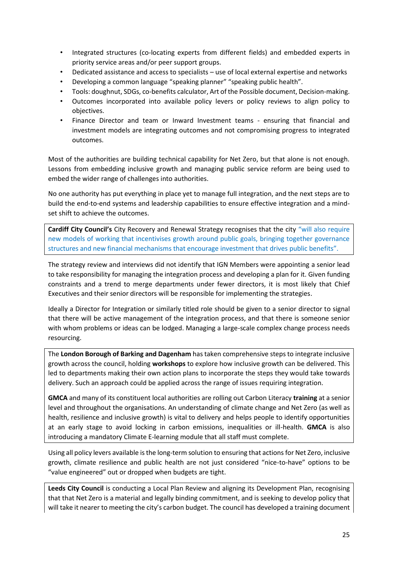- Integrated structures (co-locating experts from different fields) and embedded experts in priority service areas and/or peer support groups.
- Dedicated assistance and access to specialists use of local external expertise and networks
- Developing a common language "speaking planner" "speaking public health".
- Tools: doughnut, SDGs, co-benefits calculator, Art of the Possible document, Decision-making.
- Outcomes incorporated into available policy levers or policy reviews to align policy to objectives.
- Finance Director and team or Inward Investment teams ensuring that financial and investment models are integrating outcomes and not compromising progress to integrated outcomes.

Most of the authorities are building technical capability for Net Zero, but that alone is not enough. Lessons from embedding inclusive growth and managing public service reform are being used to embed the wider range of challenges into authorities.

No one authority has put everything in place yet to manage full integration, and the next steps are to build the end-to-end systems and leadership capabilities to ensure effective integration and a mindset shift to achieve the outcomes.

**Cardiff City Council's** City Recovery and Renewal Strategy recognises that the city "will also require new models of working that incentivises growth around public goals, bringing together governance structures and new financial mechanisms that encourage investment that drives public benefits".

The strategy review and interviews did not identify that IGN Members were appointing a senior lead to take responsibility for managing the integration process and developing a plan for it. Given funding constraints and a trend to merge departments under fewer directors, it is most likely that Chief Executives and their senior directors will be responsible for implementing the strategies.

Ideally a Director for Integration or similarly titled role should be given to a senior director to signal that there will be active management of the integration process, and that there is someone senior with whom problems or ideas can be lodged. Managing a large-scale complex change process needs resourcing.

The **London Borough of Barking and Dagenham** has taken comprehensive steps to integrate inclusive growth across the council, holding **workshops** to explore how inclusive growth can be delivered. This led to departments making their own action plans to incorporate the steps they would take towards delivery. Such an approach could be applied across the range of issues requiring integration.

**GMCA** and many of its constituent local authorities are rolling out Carbon Literacy **training** at a senior level and throughout the organisations. An understanding of climate change and Net Zero (as well as health, resilience and inclusive growth) is vital to delivery and helps people to identify opportunities at an early stage to avoid locking in carbon emissions, inequalities or ill-health. **GMCA** is also introducing a mandatory Climate E-learning module that all staff must complete.

Using all policy levers available is the long-term solution to ensuring that actions for Net Zero, inclusive growth, climate resilience and public health are not just considered "nice-to-have" options to be "value engineered" out or dropped when budgets are tight.

**Leeds City Council** is conducting a Local Plan Review and aligning its Development Plan, recognising that that Net Zero is a material and legally binding commitment, and is seeking to develop policy that will take it nearer to meeting the city's carbon budget. The council has developed a training document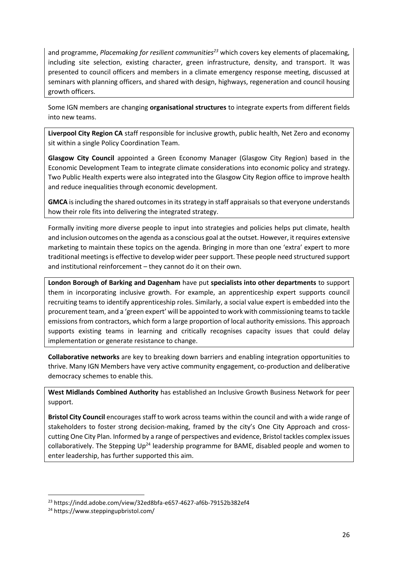and programme, *Placemaking for resilient communities<sup>23</sup>* which covers key elements of placemaking, including site selection, existing character, green infrastructure, density, and transport. It was presented to council officers and members in a climate emergency response meeting, discussed at seminars with planning officers, and shared with design, highways, regeneration and council housing growth officers.

Some IGN members are changing **organisational structures** to integrate experts from different fields into new teams.

**Liverpool City Region CA** staff responsible for inclusive growth, public health, Net Zero and economy sit within a single Policy Coordination Team.

**Glasgow City Council** appointed a Green Economy Manager (Glasgow City Region) based in the Economic Development Team to integrate climate considerations into economic policy and strategy. Two Public Health experts were also integrated into the Glasgow City Region office to improve health and reduce inequalities through economic development.

**GMCA** is including the shared outcomes in its strategy in staff appraisals so that everyone understands how their role fits into delivering the integrated strategy.

Formally inviting more diverse people to input into strategies and policies helps put climate, health and inclusion outcomes on the agenda as a conscious goal at the outset. However, it requires extensive marketing to maintain these topics on the agenda. Bringing in more than one 'extra' expert to more traditional meetings is effective to develop wider peer support. These people need structured support and institutional reinforcement – they cannot do it on their own.

**London Borough of Barking and Dagenham** have put **specialists into other departments** to support them in incorporating inclusive growth. For example, an apprenticeship expert supports council recruiting teams to identify apprenticeship roles. Similarly, a social value expert is embedded into the procurement team, and a 'green expert' will be appointed to work with commissioning teams to tackle emissions from contractors, which form a large proportion of local authority emissions. This approach supports existing teams in learning and critically recognises capacity issues that could delay implementation or generate resistance to change.

**Collaborative networks** are key to breaking down barriers and enabling integration opportunities to thrive. Many IGN Members have very active community engagement, co-production and deliberative democracy schemes to enable this.

**West Midlands Combined Authority** has established an Inclusive Growth Business Network for peer support.

**Bristol City Council** encourages staff to work across teams within the council and with a wide range of stakeholders to foster strong decision-making, framed by the city's One City Approach and crosscutting One City Plan. Informed by a range of perspectives and evidence, Bristol tackles complex issues collaboratively. The Stepping  $Up^{24}$  leadership programme for BAME, disabled people and women to enter leadership, has further supported this aim.

<sup>23</sup> https://indd.adobe.com/view/32ed8bfa-e657-4627-af6b-79152b382ef4

<sup>24</sup> https://www.steppingupbristol.com/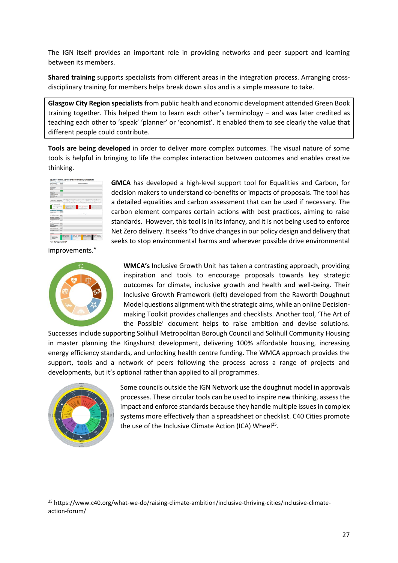The IGN itself provides an important role in providing networks and peer support and learning between its members.

**Shared training** supports specialists from different areas in the integration process. Arranging crossdisciplinary training for members helps break down silos and is a simple measure to take.

**Glasgow City Region specialists** from public health and economic development attended Green Book training together. This helped them to learn each other's terminology – and was later credited as teaching each other to 'speak' 'planner' or 'economist'. It enabled them to see clearly the value that different people could contribute.

**Tools are being developed** in order to deliver more complex outcomes. The visual nature of some tools is helpful in bringing to life the complex interaction between outcomes and enables creative thinking.



improvements."



**GMCA** has developed a high-level support tool for Equalities and Carbon, for decision makers to understand co-benefits or impacts of proposals. The tool has a detailed equalities and carbon assessment that can be used if necessary. The carbon element compares certain actions with best practices, aiming to raise standards. However, this tool is in its infancy, and it is not being used to enforce Net Zero delivery. It seeks "to drive changes in our policy design and delivery that seeks to stop environmental harms and wherever possible drive environmental

**WMCA's** Inclusive Growth Unit has taken a contrasting approach, providing inspiration and tools to encourage proposals towards key strategic outcomes for climate, inclusive growth and health and well-being. Their Inclusive Growth Framework (left) developed from the Raworth Doughnut Model questions alignment with the strategic aims, while an online Decisionmaking Toolkit provides challenges and checklists. Another tool, 'The Art of the Possible' document helps to raise ambition and devise solutions.

Successes include supporting Solihull Metropolitan Borough Council and Solihull Community Housing in master planning the Kingshurst development, delivering 100% affordable housing, increasing energy efficiency standards, and unlocking health centre funding. The WMCA approach provides the support, tools and a network of peers following the process across a range of projects and developments, but it's optional rather than applied to all programmes.



Some councils outside the IGN Network use the doughnut model in approvals processes. These circular tools can be used to inspire new thinking, assess the impact and enforce standards because they handle multiple issues in complex systems more effectively than a spreadsheet or checklist. C40 Cities promote the use of the Inclusive Climate Action (ICA) Wheel<sup>25</sup>.

<sup>&</sup>lt;sup>25</sup> https://www.c40.org/what-we-do/raising-climate-ambition/inclusive-thriving-cities/inclusive-climateaction-forum/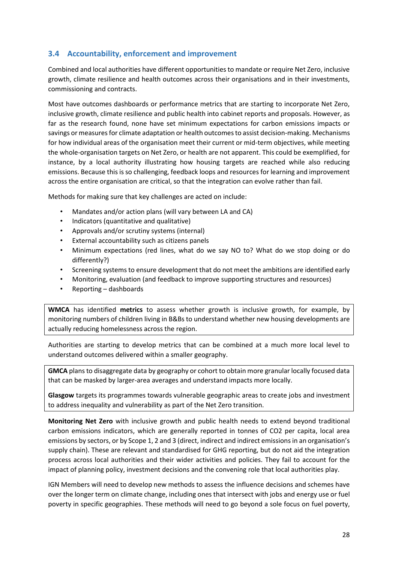## <span id="page-34-0"></span>**3.4 Accountability, enforcement and improvement**

Combined and local authorities have different opportunities to mandate or require Net Zero, inclusive growth, climate resilience and health outcomes across their organisations and in their investments, commissioning and contracts.

Most have outcomes dashboards or performance metrics that are starting to incorporate Net Zero, inclusive growth, climate resilience and public health into cabinet reports and proposals. However, as far as the research found, none have set minimum expectations for carbon emissions impacts or savings or measures for climate adaptation or health outcomes to assist decision-making. Mechanisms for how individual areas of the organisation meet their current or mid-term objectives, while meeting the whole-organisation targets on Net Zero, or health are not apparent. This could be exemplified, for instance, by a local authority illustrating how housing targets are reached while also reducing emissions. Because this is so challenging, feedback loops and resources for learning and improvement across the entire organisation are critical, so that the integration can evolve rather than fail.

Methods for making sure that key challenges are acted on include:

- Mandates and/or action plans (will vary between LA and CA)
- Indicators (quantitative and qualitative)
- Approvals and/or scrutiny systems (internal)
- External accountability such as citizens panels
- Minimum expectations (red lines, what do we say NO to? What do we stop doing or do differently?)
- Screening systems to ensure development that do not meet the ambitions are identified early
- Monitoring, evaluation (and feedback to improve supporting structures and resources)
- Reporting dashboards

**WMCA** has identified **metrics** to assess whether growth is inclusive growth, for example, by monitoring numbers of children living in B&Bs to understand whether new housing developments are actually reducing homelessness across the region.

Authorities are starting to develop metrics that can be combined at a much more local level to understand outcomes delivered within a smaller geography.

**GMCA** plans to disaggregate data by geography or cohort to obtain more granular locally focused data that can be masked by larger-area averages and understand impacts more locally.

**Glasgow** targets its programmes towards vulnerable geographic areas to create jobs and investment to address inequality and vulnerability as part of the Net Zero transition.

**Monitoring Net Zero** with inclusive growth and public health needs to extend beyond traditional carbon emissions indicators, which are generally reported in tonnes of CO2 per capita, local area emissions by sectors, or by Scope 1, 2 and 3 (direct, indirect and indirect emissions in an organisation's supply chain). These are relevant and standardised for GHG reporting, but do not aid the integration process across local authorities and their wider activities and policies. They fail to account for the impact of planning policy, investment decisions and the convening role that local authorities play.

IGN Members will need to develop new methods to assess the influence decisions and schemes have over the longer term on climate change, including ones that intersect with jobs and energy use or fuel poverty in specific geographies. These methods will need to go beyond a sole focus on fuel poverty,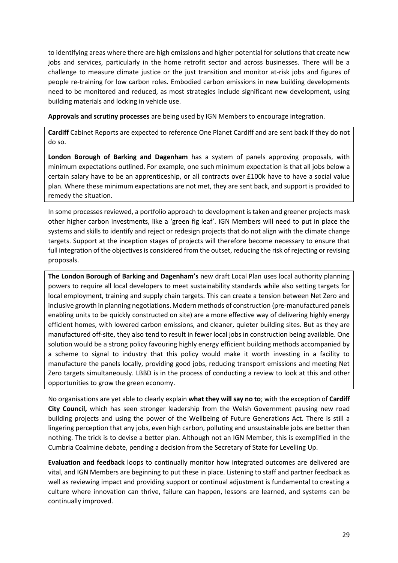to identifying areas where there are high emissions and higher potential for solutions that create new jobs and services, particularly in the home retrofit sector and across businesses. There will be a challenge to measure climate justice or the just transition and monitor at-risk jobs and figures of people re-training for low carbon roles. Embodied carbon emissions in new building developments need to be monitored and reduced, as most strategies include significant new development, using building materials and locking in vehicle use.

**Approvals and scrutiny processes** are being used by IGN Members to encourage integration.

**Cardiff** Cabinet Reports are expected to reference One Planet Cardiff and are sent back if they do not do so.

**London Borough of Barking and Dagenham** has a system of panels approving proposals, with minimum expectations outlined. For example, one such minimum expectation is that all jobs below a certain salary have to be an apprenticeship, or all contracts over £100k have to have a social value plan. Where these minimum expectations are not met, they are sent back, and support is provided to remedy the situation.

In some processes reviewed, a portfolio approach to development is taken and greener projects mask other higher carbon investments, like a 'green fig leaf'. IGN Members will need to put in place the systems and skills to identify and reject or redesign projects that do not align with the climate change targets. Support at the inception stages of projects will therefore become necessary to ensure that full integration of the objectives is considered from the outset, reducing the risk of rejecting or revising proposals.

**The London Borough of Barking and Dagenham's** new draft Local Plan uses local authority planning powers to require all local developers to meet sustainability standards while also setting targets for local employment, training and supply chain targets. This can create a tension between Net Zero and inclusive growth in planning negotiations. Modern methods of construction (pre-manufactured panels enabling units to be quickly constructed on site) are a more effective way of delivering highly energy efficient homes, with lowered carbon emissions, and cleaner, quieter building sites. But as they are manufactured off-site, they also tend to result in fewer local jobs in construction being available. One solution would be a strong policy favouring highly energy efficient building methods accompanied by a scheme to signal to industry that this policy would make it worth investing in a facility to manufacture the panels locally, providing good jobs, reducing transport emissions and meeting Net Zero targets simultaneously. LBBD is in the process of conducting a review to look at this and other opportunities to grow the green economy.

No organisations are yet able to clearly explain **what they will say no to**; with the exception of **Cardiff City Council,** which has seen stronger leadership from the Welsh Government pausing new road building projects and using the power of the Wellbeing of Future Generations Act. There is still a lingering perception that any jobs, even high carbon, polluting and unsustainable jobs are better than nothing. The trick is to devise a better plan. Although not an IGN Member, this is exemplified in the Cumbria Coalmine debate, pending a decision from the Secretary of State for Levelling Up.

**Evaluation and feedback** loops to continually monitor how integrated outcomes are delivered are vital, and IGN Members are beginning to put these in place. Listening to staff and partner feedback as well as reviewing impact and providing support or continual adjustment is fundamental to creating a culture where innovation can thrive, failure can happen, lessons are learned, and systems can be continually improved.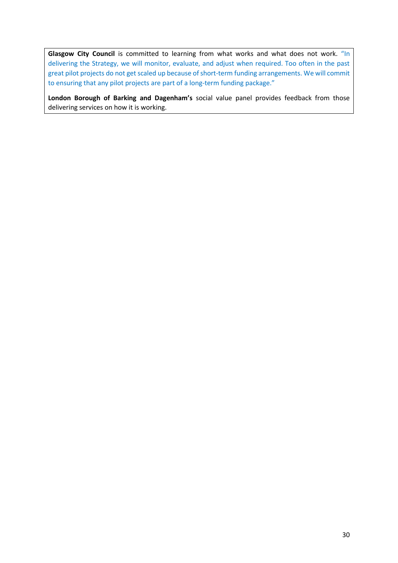Glasgow City Council is committed to learning from what works and what does not work. "In delivering the Strategy, we will monitor, evaluate, and adjust when required. Too often in the past great pilot projects do not get scaled up because of short-term funding arrangements. We will commit to ensuring that any pilot projects are part of a long-term funding package."

**London Borough of Barking and Dagenham's** social value panel provides feedback from those delivering services on how it is working.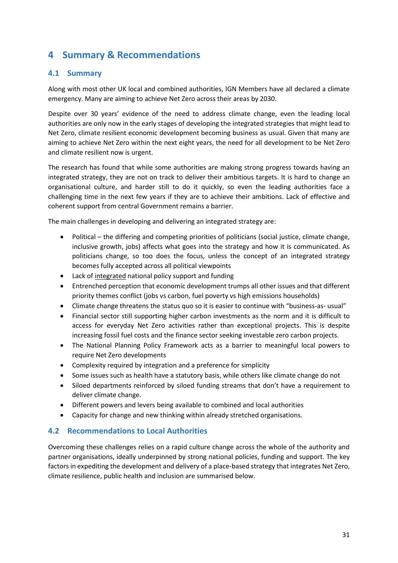# <span id="page-37-0"></span>**4 Summary & Recommendations**

## <span id="page-37-1"></span>**4.1 Summary**

Along with most other UK local and combined authorities, IGN Members have all declared a climate emergency. Many are aiming to achieve Net Zero across their areas by 2030.

Despite over 30 years' evidence of the need to address climate change, even the leading local authorities are only now in the early stages of developing the integrated strategies that might lead to Net Zero, climate resilient economic development becoming business as usual. Given that many are aiming to achieve Net Zero within the next eight years, the need for all development to be Net Zero and climate resilient now is urgent.

The research has found that while some authorities are making strong progress towards having an integrated strategy, they are not on track to deliver their ambitious targets. It is hard to change an organisational culture, and harder still to do it quickly, so even the leading authorities face a challenging time in the next few years if they are to achieve their ambitions. Lack of effective and coherent support from central Government remains a barrier.

The main challenges in developing and delivering an integrated strategy are:

- Political the differing and competing priorities of politicians (social justice, climate change, inclusive growth, jobs) affects what goes into the strategy and how it is communicated. As politicians change, so too does the focus, unless the concept of an integrated strategy becomes fully accepted across all political viewpoints
- Lack of integrated national policy support and funding
- Entrenched perception that economic development trumps all other issues and that different priority themes conflict (jobs vs carbon, fuel poverty vs high emissions households)
- Climate change threatens the status quo so it is easier to continue with "business-as- usual"
- Financial sector still supporting higher carbon investments as the norm and it is difficult to access for everyday Net Zero activities rather than exceptional projects. This is despite increasing fossil fuel costs and the finance sector seeking investable zero carbon projects.
- The National Planning Policy Framework acts as a barrier to meaningful local powers to require Net Zero developments
- Complexity required by integration and a preference for simplicity
- Some issues such as health have a statutory basis, while others like climate change do not
- Siloed departments reinforced by siloed funding streams that don't have a requirement to deliver climate change.
- Different powers and levers being available to combined and local authorities
- Capacity for change and new thinking within already stretched organisations.

#### <span id="page-37-2"></span>**4.2 Recommendations to Local Authorities**

Overcoming these challenges relies on a rapid culture change across the whole of the authority and partner organisations, ideally underpinned by strong national policies, funding and support. The key factors in expediting the development and delivery of a place-based strategy that integrates Net Zero, climate resilience, public health and inclusion are summarised below.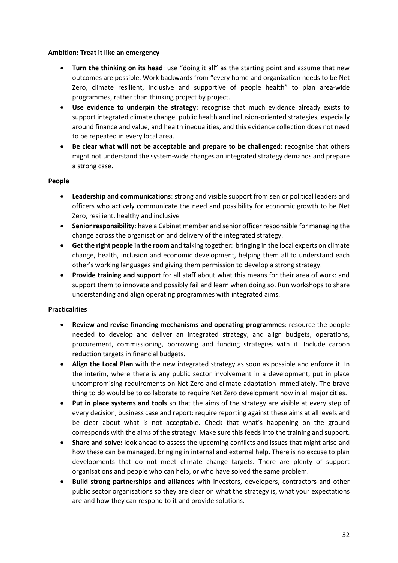#### **Ambition: Treat it like an emergency**

- **Turn the thinking on its head**: use "doing it all" as the starting point and assume that new outcomes are possible. Work backwards from "every home and organization needs to be Net Zero, climate resilient, inclusive and supportive of people health" to plan area-wide programmes, rather than thinking project by project.
- **Use evidence to underpin the strategy**: recognise that much evidence already exists to support integrated climate change, public health and inclusion-oriented strategies, especially around finance and value, and health inequalities, and this evidence collection does not need to be repeated in every local area.
- **Be clear what will not be acceptable and prepare to be challenged**: recognise that others might not understand the system-wide changes an integrated strategy demands and prepare a strong case.

#### **People**

- **Leadership and communications**: strong and visible support from senior political leaders and officers who actively communicate the need and possibility for economic growth to be Net Zero, resilient, healthy and inclusive
- **Senior responsibility**: have a Cabinet member and senior officer responsible for managing the change across the organisation and delivery of the integrated strategy.
- **Get the right people in the room** and talking together: bringing in the local experts on climate change, health, inclusion and economic development, helping them all to understand each other's working languages and giving them permission to develop a strong strategy.
- **Provide training and support** for all staff about what this means for their area of work: and support them to innovate and possibly fail and learn when doing so. Run workshops to share understanding and align operating programmes with integrated aims.

#### **Practicalities**

- **Review and revise financing mechanisms and operating programmes**: resource the people needed to develop and deliver an integrated strategy, and align budgets, operations, procurement, commissioning, borrowing and funding strategies with it. Include carbon reduction targets in financial budgets.
- **Align the Local Plan** with the new integrated strategy as soon as possible and enforce it. In the interim, where there is any public sector involvement in a development, put in place uncompromising requirements on Net Zero and climate adaptation immediately. The brave thing to do would be to collaborate to require Net Zero development now in all major cities.
- **Put in place systems and tools** so that the aims of the strategy are visible at every step of every decision, business case and report: require reporting against these aims at all levels and be clear about what is not acceptable. Check that what's happening on the ground corresponds with the aims of the strategy. Make sure this feeds into the training and support.
- **Share and solve:** look ahead to assess the upcoming conflicts and issues that might arise and how these can be managed, bringing in internal and external help. There is no excuse to plan developments that do not meet climate change targets. There are plenty of support organisations and people who can help, or who have solved the same problem.
- **Build strong partnerships and alliances** with investors, developers, contractors and other public sector organisations so they are clear on what the strategy is, what your expectations are and how they can respond to it and provide solutions.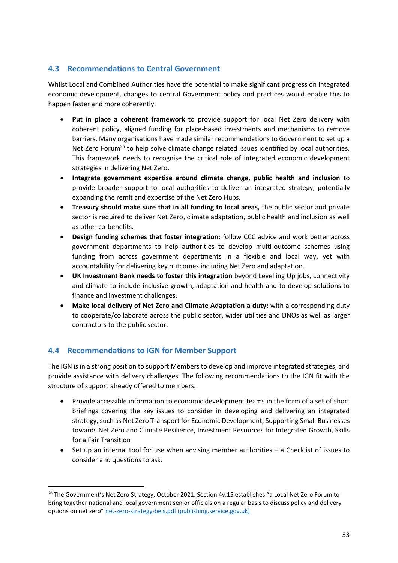## <span id="page-39-0"></span>**4.3 Recommendations to Central Government**

Whilst Local and Combined Authorities have the potential to make significant progress on integrated economic development, changes to central Government policy and practices would enable this to happen faster and more coherently.

- **Put in place a coherent framework** to provide support for local Net Zero delivery with coherent policy, aligned funding for place-based investments and mechanisms to remove barriers. Many organisations have made similar recommendations to Government to set up a Net Zero Forum<sup>26</sup> to help solve climate change related issues identified by local authorities. This framework needs to recognise the critical role of integrated economic development strategies in delivering Net Zero.
- **Integrate government expertise around climate change, public health and inclusion** to provide broader support to local authorities to deliver an integrated strategy, potentially expanding the remit and expertise of the Net Zero Hubs.
- **Treasury should make sure that in all funding to local areas,** the public sector and private sector is required to deliver Net Zero, climate adaptation, public health and inclusion as well as other co-benefits.
- **Design funding schemes that foster integration:** follow CCC advice and work better across government departments to help authorities to develop multi-outcome schemes using funding from across government departments in a flexible and local way, yet with accountability for delivering key outcomes including Net Zero and adaptation.
- **UK Investment Bank needs to foster this integration** beyond Levelling Up jobs, connectivity and climate to include inclusive growth, adaptation and health and to develop solutions to finance and investment challenges.
- **Make local delivery of Net Zero and Climate Adaptation a duty:** with a corresponding duty to cooperate/collaborate across the public sector, wider utilities and DNOs as well as larger contractors to the public sector.

## <span id="page-39-1"></span>**4.4 Recommendations to IGN for Member Support**

The IGN is in a strong position to support Members to develop and improve integrated strategies, and provide assistance with delivery challenges. The following recommendations to the IGN fit with the structure of support already offered to members.

- Provide accessible information to economic development teams in the form of a set of short briefings covering the key issues to consider in developing and delivering an integrated strategy, such as Net Zero Transport for Economic Development, Supporting Small Businesses towards Net Zero and Climate Resilience, Investment Resources for Integrated Growth, Skills for a Fair Transition
- Set up an internal tool for use when advising member authorities a Checklist of issues to consider and questions to ask.

<sup>&</sup>lt;sup>26</sup> The Government's Net Zero Strategy, October 2021, Section 4v.15 establishes "a Local Net Zero Forum to bring together national and local government senior officials on a regular basis to discuss policy and delivery options on net zero" [net-zero-strategy-beis.pdf \(publishing.service.gov.uk\)](https://assets.publishing.service.gov.uk/government/uploads/system/uploads/attachment_data/file/1033990/net-zero-strategy-beis.pdf)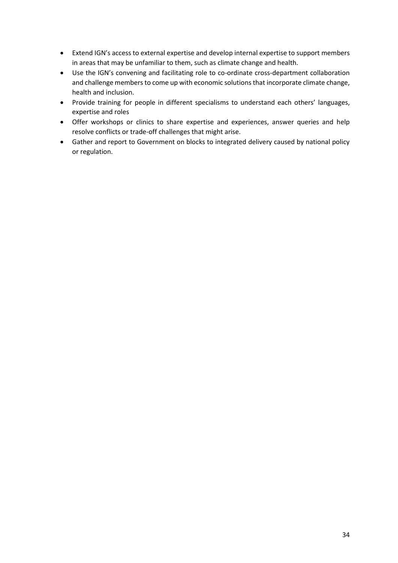- Extend IGN's access to external expertise and develop internal expertise to support members in areas that may be unfamiliar to them, such as climate change and health.
- Use the IGN's convening and facilitating role to co-ordinate cross-department collaboration and challenge members to come up with economic solutions that incorporate climate change, health and inclusion.
- Provide training for people in different specialisms to understand each others' languages, expertise and roles
- Offer workshops or clinics to share expertise and experiences, answer queries and help resolve conflicts or trade-off challenges that might arise.
- Gather and report to Government on blocks to integrated delivery caused by national policy or regulation.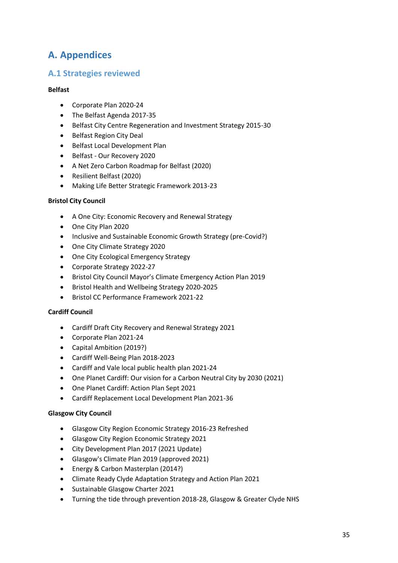# <span id="page-41-0"></span>**A. Appendices**

## **A.1 Strategies reviewed**

#### **Belfast**

- Corporate Plan 2020-24
- The Belfast Agenda 2017-35
- Belfast City Centre Regeneration and Investment Strategy 2015-30
- Belfast Region City Deal
- Belfast Local Development Plan
- Belfast Our Recovery 2020
- A Net Zero Carbon Roadmap for Belfast (2020)
- Resilient Belfast (2020)
- Making Life Better Strategic Framework 2013-23

#### **Bristol City Council**

- A One City: Economic Recovery and Renewal Strategy
- One City Plan 2020
- Inclusive and Sustainable Economic Growth Strategy (pre-Covid?)
- One City Climate Strategy 2020
- One City Ecological Emergency Strategy
- Corporate Strategy 2022-27
- Bristol City Council Mayor's Climate Emergency Action Plan 2019
- Bristol Health and Wellbeing Strategy 2020-2025
- Bristol CC Performance Framework 2021-22

#### **Cardiff Council**

- Cardiff Draft City Recovery and Renewal Strategy 2021
- Corporate Plan 2021-24
- Capital Ambition (2019?)
- Cardiff Well-Being Plan 2018-2023
- Cardiff and Vale local public health plan 2021-24
- One Planet Cardiff: Our vision for a Carbon Neutral City by 2030 (2021)
- One Planet Cardiff: Action Plan Sept 2021
- Cardiff Replacement Local Development Plan 2021-36

#### **Glasgow City Council**

- Glasgow City Region Economic Strategy 2016-23 Refreshed
- Glasgow City Region Economic Strategy 2021
- City Development Plan 2017 (2021 Update)
- Glasgow's Climate Plan 2019 (approved 2021)
- Energy & Carbon Masterplan (2014?)
- Climate Ready Clyde Adaptation Strategy and Action Plan 2021
- Sustainable Glasgow Charter 2021
- Turning the tide through prevention 2018-28, Glasgow & Greater Clyde NHS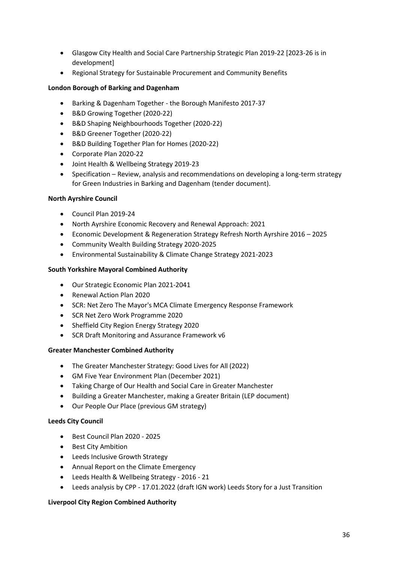- Glasgow City Health and Social Care Partnership Strategic Plan 2019-22 [2023-26 is in development]
- Regional Strategy for Sustainable Procurement and Community Benefits

#### **London Borough of Barking and Dagenham**

- Barking & Dagenham Together the Borough Manifesto 2017-37
- B&D Growing Together (2020-22)
- B&D Shaping Neighbourhoods Together (2020-22)
- B&D Greener Together (2020-22)
- B&D Building Together Plan for Homes (2020-22)
- Corporate Plan 2020-22
- Joint Health & Wellbeing Strategy 2019-23
- Specification Review, analysis and recommendations on developing a long-term strategy for Green Industries in Barking and Dagenham (tender document).

#### **North Ayrshire Council**

- Council Plan 2019-24
- North Ayrshire Economic Recovery and Renewal Approach: 2021
- Economic Development & Regeneration Strategy Refresh North Ayrshire 2016 2025
- Community Wealth Building Strategy 2020-2025
- Environmental Sustainability & Climate Change Strategy 2021-2023

#### **South Yorkshire Mayoral Combined Authority**

- Our Strategic Economic Plan 2021-2041
- Renewal Action Plan 2020
- SCR: Net Zero The Mayor's MCA Climate Emergency Response Framework
- SCR Net Zero Work Programme 2020
- Sheffield City Region Energy Strategy 2020
- SCR Draft Monitoring and Assurance Framework v6

#### **Greater Manchester Combined Authority**

- The Greater Manchester Strategy: Good Lives for All (2022)
- GM Five Year Environment Plan (December 2021)
- Taking Charge of Our Health and Social Care in Greater Manchester
- Building a Greater Manchester, making a Greater Britain (LEP document)
- Our People Our Place (previous GM strategy)

#### **Leeds City Council**

- Best Council Plan 2020 2025
- Best City Ambition
- Leeds Inclusive Growth Strategy
- Annual Report on the Climate Emergency
- Leeds Health & Wellbeing Strategy 2016 21
- Leeds analysis by CPP 17.01.2022 (draft IGN work) Leeds Story for a Just Transition

## **Liverpool City Region Combined Authority**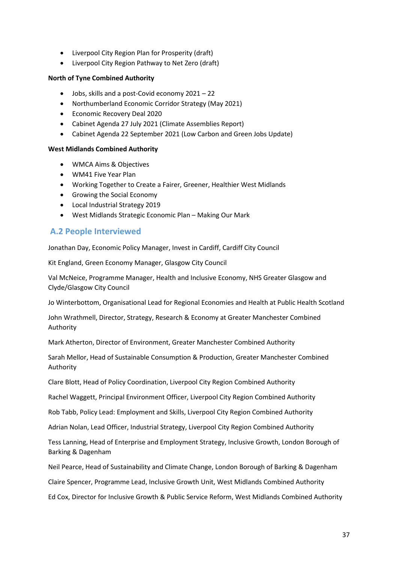- Liverpool City Region Plan for Prosperity (draft)
- Liverpool City Region Pathway to Net Zero (draft)

#### **North of Tyne Combined Authority**

- Jobs, skills and a post-Covid economy 2021 22
- Northumberland Economic Corridor Strategy (May 2021)
- Economic Recovery Deal 2020
- Cabinet Agenda 27 July 2021 (Climate Assemblies Report)
- Cabinet Agenda 22 September 2021 (Low Carbon and Green Jobs Update)

#### **West Midlands Combined Authority**

- WMCA Aims & Objectives
- WM41 Five Year Plan
- Working Together to Create a Fairer, Greener, Healthier West Midlands
- Growing the Social Economy
- Local Industrial Strategy 2019
- West Midlands Strategic Economic Plan Making Our Mark

## **A.2 People Interviewed**

Jonathan Day, Economic Policy Manager, Invest in Cardiff, Cardiff City Council

Kit England, Green Economy Manager, Glasgow City Council

Val McNeice, Programme Manager, Health and Inclusive Economy, NHS Greater Glasgow and Clyde/Glasgow City Council

Jo Winterbottom, Organisational Lead for Regional Economies and Health at Public Health Scotland

John Wrathmell, Director, Strategy, Research & Economy at Greater Manchester Combined Authority

Mark Atherton, Director of Environment, Greater Manchester Combined Authority

Sarah Mellor, Head of Sustainable Consumption & Production, Greater Manchester Combined Authority

Clare Blott, Head of Policy Coordination, Liverpool City Region Combined Authority

Rachel Waggett, Principal Environment Officer, Liverpool City Region Combined Authority

Rob Tabb, Policy Lead: Employment and Skills, Liverpool City Region Combined Authority

Adrian Nolan, Lead Officer, Industrial Strategy, Liverpool City Region Combined Authority

Tess Lanning, Head of Enterprise and Employment Strategy, Inclusive Growth, London Borough of Barking & Dagenham

Neil Pearce, Head of Sustainability and Climate Change, London Borough of Barking & Dagenham

Claire Spencer, Programme Lead, Inclusive Growth Unit, West Midlands Combined Authority

Ed Cox, Director for Inclusive Growth & Public Service Reform, West Midlands Combined Authority